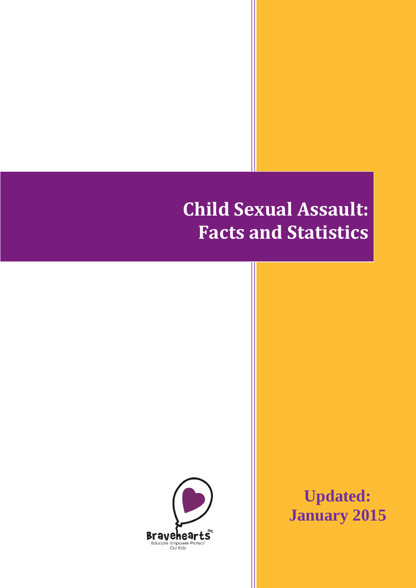# **Child Sexual Assault: Facts and Statistics**



**Updated: January 2015**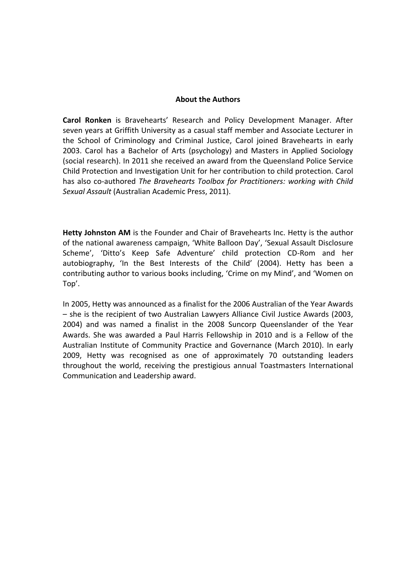#### **About the Authors**

**Carol Ronken** is Bravehearts' Research and Policy Development Manager. After seven years at Griffith University as a casual staff member and Associate Lecturer in the School of Criminology and Criminal Justice, Carol joined Bravehearts in early 2003. Carol has a Bachelor of Arts (psychology) and Masters in Applied Sociology (social research). In 2011 she received an award from the Queensland Police Service Child Protection and Investigation Unit for her contribution to child protection. Carol has also co-authored *The Bravehearts Toolbox for Practitioners: working with Child Sexual Assault* (Australian Academic Press, 2011).

**Hetty Johnston AM** is the Founder and Chair of Bravehearts Inc. Hetty is the author of the national awareness campaign, 'White Balloon Day', 'Sexual Assault Disclosure Scheme', 'Ditto's Keep Safe Adventure' child protection CD-Rom and her autobiography, 'In the Best Interests of the Child' (2004). Hetty has been a contributing author to various books including, 'Crime on my Mind', and 'Women on Top'.

In 2005, Hetty was announced as a finalist for the 2006 Australian of the Year Awards – she is the recipient of two Australian Lawyers Alliance Civil Justice Awards (2003, 2004) and was named a finalist in the 2008 Suncorp Queenslander of the Year Awards. She was awarded a Paul Harris Fellowship in 2010 and is a Fellow of the Australian Institute of Community Practice and Governance (March 2010). In early 2009, Hetty was recognised as one of approximately 70 outstanding leaders throughout the world, receiving the prestigious annual Toastmasters International Communication and Leadership award.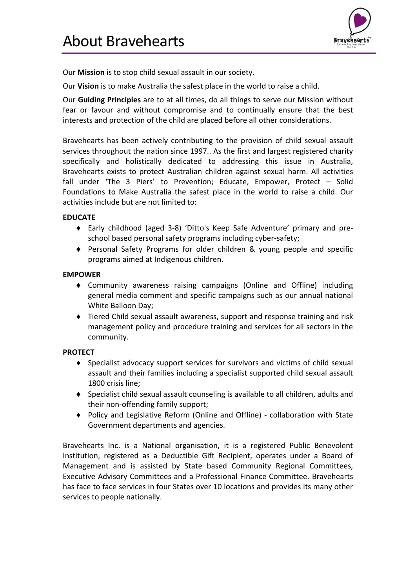

<span id="page-2-0"></span>Our **Mission** is to stop child sexual assault in our society.

Our **Vision** is to make Australia the safest place in the world to raise a child.

Our **Guiding Principles** are to at all times, do all things to serve our Mission without fear or favour and without compromise and to continually ensure that the best interests and protection of the child are placed before all other considerations.

Bravehearts has been actively contributing to the provision of child sexual assault services throughout the nation since 1997.. As the first and largest registered charity specifically and holistically dedicated to addressing this issue in Australia, Bravehearts exists to protect Australian children against sexual harm. All activities fall under 'The 3 Piers' to Prevention; Educate, Empower, Protect – Solid Foundations to Make Australia the safest place in the world to raise a child. Our activities include but are not limited to:

#### **EDUCATE**

- Early childhood (aged 3-8) 'Ditto's Keep Safe Adventure' primary and preschool based personal safety programs including cyber-safety;
- Personal Safety Programs for older children & young people and specific programs aimed at Indigenous children.

#### **EMPOWER**

- Community awareness raising campaigns (Online and Offline) including general media comment and specific campaigns such as our annual national White Balloon Day;
- Tiered Child sexual assault awareness, support and response training and risk management policy and procedure training and services for all sectors in the community.

#### **PROTECT**

- Specialist advocacy support services for survivors and victims of child sexual assault and their families including a specialist supported child sexual assault 1800 crisis line;
- Specialist child sexual assault counseling is available to all children, adults and their non-offending family support;
- Policy and Legislative Reform (Online and Offline) collaboration with State Government departments and agencies.

Bravehearts Inc. is a National organisation, it is a registered Public Benevolent Institution, registered as a Deductible Gift Recipient, operates under a Board of Management and is assisted by State based Community Regional Committees, Executive Advisory Committees and a Professional Finance Committee. Bravehearts has face to face services in four States over 10 locations and provides its many other services to people nationally.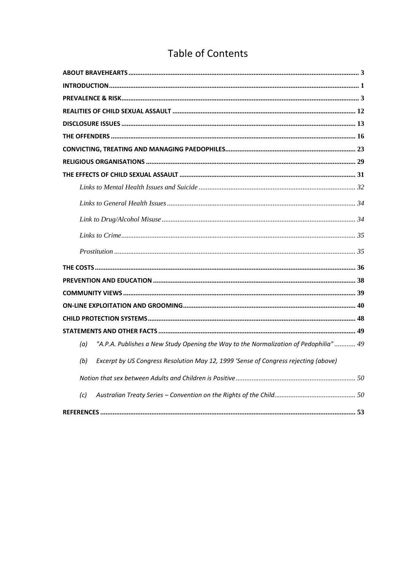### **Table of Contents**

| "A.P.A. Publishes a New Study Opening the Way to the Normalization of Pedophilia" 49<br>(a) |  |
|---------------------------------------------------------------------------------------------|--|
| Excerpt by US Congress Resolution May 12, 1999 'Sense of Congress rejecting (above)<br>(b)  |  |
|                                                                                             |  |
| (c)                                                                                         |  |
|                                                                                             |  |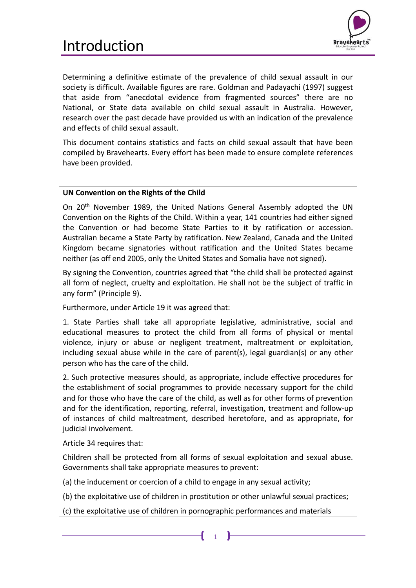### <span id="page-4-0"></span>Introduction



Determining a definitive estimate of the prevalence of child sexual assault in our society is difficult. Available figures are rare. Goldman and Padayachi (1997) suggest that aside from "anecdotal evidence from fragmented sources" there are no National, or State data available on child sexual assault in Australia. However, research over the past decade have provided us with an indication of the prevalence and effects of child sexual assault.

This document contains statistics and facts on child sexual assault that have been compiled by Bravehearts. Every effort has been made to ensure complete references have been provided.

#### **UN Convention on the Rights of the Child**

On 20th November 1989, the United Nations General Assembly adopted the UN Convention on the Rights of the Child. Within a year, 141 countries had either signed the Convention or had become State Parties to it by ratification or accession. Australian became a State Party by ratification. New Zealand, Canada and the United Kingdom became signatories without ratification and the United States became neither (as off end 2005, only the United States and Somalia have not signed).

By signing the Convention, countries agreed that "the child shall be protected against all form of neglect, cruelty and exploitation. He shall not be the subject of traffic in any form" (Principle 9).

Furthermore, under Article 19 it was agreed that:

1. State Parties shall take all appropriate legislative, administrative, social and educational measures to protect the child from all forms of physical or mental violence, injury or abuse or negligent treatment, maltreatment or exploitation, including sexual abuse while in the care of parent(s), legal guardian(s) or any other person who has the care of the child.

2. Such protective measures should, as appropriate, include effective procedures for the establishment of social programmes to provide necessary support for the child and for those who have the care of the child, as well as for other forms of prevention and for the identification, reporting, referral, investigation, treatment and follow-up of instances of child maltreatment, described heretofore, and as appropriate, for judicial involvement.

Article 34 requires that:

Children shall be protected from all forms of sexual exploitation and sexual abuse. Governments shall take appropriate measures to prevent:

(a) the inducement or coercion of a child to engage in any sexual activity;

(b) the exploitative use of children in prostitution or other unlawful sexual practices;

(c) the exploitative use of children in pornographic performances and materials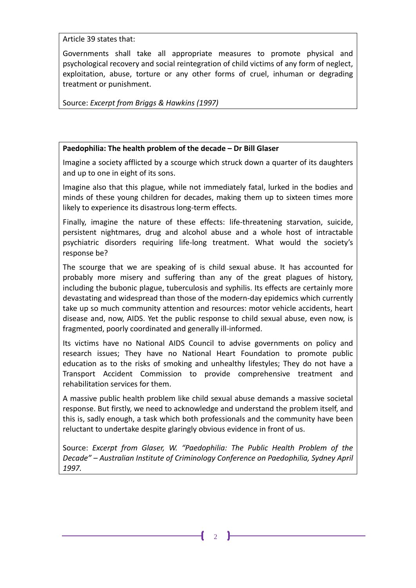Article 39 states that:

Governments shall take all appropriate measures to promote physical and psychological recovery and social reintegration of child victims of any form of neglect, exploitation, abuse, torture or any other forms of cruel, inhuman or degrading treatment or punishment.

Source: *Excerpt from Briggs & Hawkins (1997)* 

#### **Paedophilia: The health problem of the decade – Dr Bill Glaser**

Imagine a society afflicted by a scourge which struck down a quarter of its daughters and up to one in eight of its sons.

Imagine also that this plague, while not immediately fatal, lurked in the bodies and minds of these young children for decades, making them up to sixteen times more likely to experience its disastrous long-term effects.

Finally, imagine the nature of these effects: life-threatening starvation, suicide, persistent nightmares, drug and alcohol abuse and a whole host of intractable psychiatric disorders requiring life-long treatment. What would the society's response be?

The scourge that we are speaking of is child sexual abuse. It has accounted for probably more misery and suffering than any of the great plagues of history, including the bubonic plague, tuberculosis and syphilis. Its effects are certainly more devastating and widespread than those of the modern-day epidemics which currently take up so much community attention and resources: motor vehicle accidents, heart disease and, now, AIDS. Yet the public response to child sexual abuse, even now, is fragmented, poorly coordinated and generally ill-informed.

Its victims have no National AIDS Council to advise governments on policy and research issues; They have no National Heart Foundation to promote public education as to the risks of smoking and unhealthy lifestyles; They do not have a Transport Accident Commission to provide comprehensive treatment and rehabilitation services for them.

A massive public health problem like child sexual abuse demands a massive societal response. But firstly, we need to acknowledge and understand the problem itself, and this is, sadly enough, a task which both professionals and the community have been reluctant to undertake despite glaringly obvious evidence in front of us.

Source: *Excerpt from Glaser, W. "Paedophilia: The Public Health Problem of the Decade" – Australian Institute of Criminology Conference on Paedophilia, Sydney April 1997.*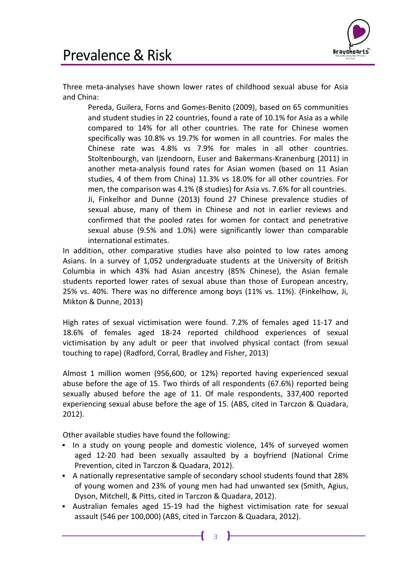

<span id="page-6-0"></span>Three meta-analyses have shown lower rates of childhood sexual abuse for Asia and China:

Pereda, Guilera, Forns and Gomes-Benito (2009), based on 65 communities and student studies in 22 countries, found a rate of 10.1% for Asia as a while compared to 14% for all other countries. The rate for Chinese women specifically was 10.8% vs 19.7% for women in all countries. For males the Chinese rate was 4.8% vs 7.9% for males in all other countries. Stoltenbourgh, van Ijzendoorn, Euser and Bakermans-Kranenburg (2011) in another meta-analysis found rates for Asian women (based on 11 Asian studies, 4 of them from China) 11.3% vs 18.0% for all other countries. For men, the comparison was 4.1% (8 studies) for Asia vs. 7.6% for all countries. Ji, Finkelhor and Dunne (2013) found 27 Chinese prevalence studies of sexual abuse, many of them in Chinese and not in earlier reviews and confirmed that the pooled rates for women for contact and penetrative sexual abuse (9.5% and 1.0%) were significantly lower than comparable international estimates.

In addition, other comparative studies have also pointed to low rates among Asians. In a survey of 1,052 undergraduate students at the University of British Columbia in which 43% had Asian ancestry (85% Chinese), the Asian female students reported lower rates of sexual abuse than those of European ancestry, 25% vs. 40%. There was no difference among boys (11% vs. 11%). (Finkelhow, Ji, Mikton & Dunne, 2013)

High rates of sexual victimisation were found. 7.2% of females aged 11-17 and 18.6% of females aged 18-24 reported childhood experiences of sexual victimisation by any adult or peer that involved physical contact (from sexual touching to rape) (Radford, Corral, Bradley and Fisher, 2013)

Almost 1 million women (956,600, or 12%) reported having experienced sexual abuse before the age of 15. Two thirds of all respondents (67.6%) reported being sexually abused before the age of 11. Of male respondents, 337,400 reported experiencing sexual abuse before the age of 15. (ABS, cited in Tarczon & Quadara, 2012).

Other available studies have found the following:

- In a study on young people and domestic violence, 14% of surveyed women aged 12-20 had been sexually assaulted by a boyfriend (National Crime Prevention, cited in Tarczon & Quadara, 2012).
- A nationally representative sample of secondary school students found that 28% of young women and 23% of young men had had unwanted sex (Smith, Agius, Dyson, Mitchell, & Pitts, cited in Tarczon & Quadara, 2012).
- Australian females aged 15-19 had the highest victimisation rate for sexual assault (546 per 100,000) (ABS, cited in Tarczon & Quadara, 2012).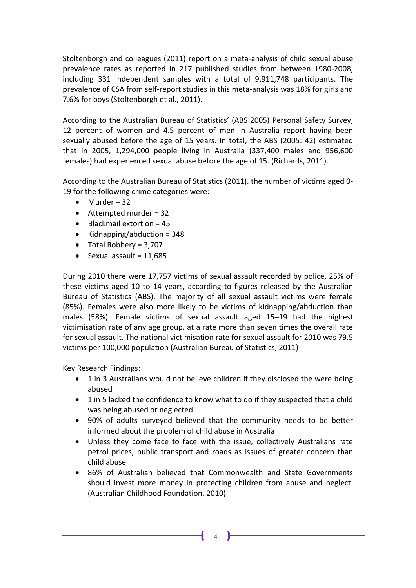Stoltenborgh and colleagues (2011) report on a meta-analysis of child sexual abuse prevalence rates as reported in 217 published studies from between 1980-2008, including 331 independent samples with a total of 9,911,748 participants. The prevalence of CSA from self-report studies in this meta-analysis was 18% for girls and 7.6% for boys (Stoltenborgh et al., 2011).

According to the Australian Bureau of Statistics' (ABS 2005) Personal Safety Survey, 12 percent of women and 4.5 percent of men in Australia report having been sexually abused before the age of 15 years. In total, the ABS (2005: 42) estimated that in 2005, 1,294,000 people living in Australia (337,400 males and 956,600 females) had experienced sexual abuse before the age of 15. (Richards, 2011).

According to the Australian Bureau of Statistics (2011). the number of victims aged 0- 19 for the following crime categories were:

- $\bullet$  Murder 32
- Attempted murder = 32
- $\bullet$  Blackmail extortion = 45
- Kidnapping/abduction =  $348$
- $\bullet$  Total Robbery = 3,707
- $\bullet$  Sexual assault = 11,685

During 2010 there were 17,757 victims of sexual assault recorded by police, 25% of these victims aged 10 to 14 years, according to figures released by the Australian Bureau of Statistics (ABS). The majority of all sexual assault victims were female (85%). Females were also more likely to be victims of kidnapping/abduction than males (58%). Female victims of sexual assault aged 15–19 had the highest victimisation rate of any age group, at a rate more than seven times the overall rate for sexual assault. The national victimisation rate for sexual assault for 2010 was 79.5 victims per 100,000 population (Australian Bureau of Statistics, 2011)

Key Research Findings:

- 1 in 3 Australians would not believe children if they disclosed the were being abused
- 1 in 5 lacked the confidence to know what to do if they suspected that a child was being abused or neglected
- 90% of adults surveyed believed that the community needs to be better informed about the problem of child abuse in Australia
- Unless they come face to face with the issue, collectively Australians rate petrol prices, public transport and roads as issues of greater concern than child abuse
- 86% of Australian believed that Commonwealth and State Governments should invest more money in protecting children from abuse and neglect. (Australian Childhood Foundation, 2010)

ſ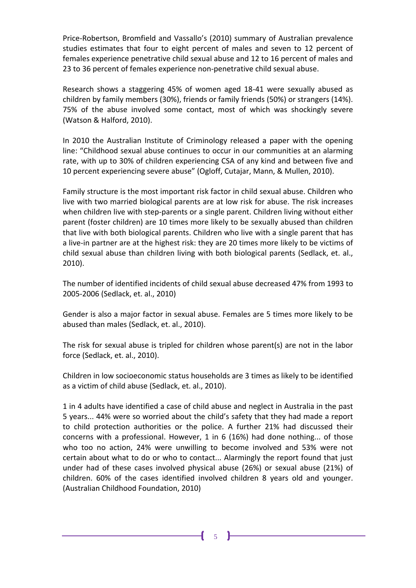Price-Robertson, Bromfield and Vassallo's (2010) summary of Australian prevalence studies estimates that four to eight percent of males and seven to 12 percent of females experience penetrative child sexual abuse and 12 to 16 percent of males and 23 to 36 percent of females experience non-penetrative child sexual abuse.

Research shows a staggering 45% of women aged 18-41 were sexually abused as children by family members (30%), friends or family friends (50%) or strangers (14%). 75% of the abuse involved some contact, most of which was shockingly severe (Watson & Halford, 2010).

In 2010 the Australian Institute of Criminology released a paper with the opening line: "Childhood sexual abuse continues to occur in our communities at an alarming rate, with up to 30% of children experiencing CSA of any kind and between five and 10 percent experiencing severe abuse" (Ogloff, Cutajar, Mann, & Mullen, 2010).

Family structure is the most important risk factor in child sexual abuse. Children who live with two married biological parents are at low risk for abuse. The risk increases when children live with step-parents or a single parent. Children living without either parent (foster children) are 10 times more likely to be sexually abused than children that live with both biological parents. Children who live with a single parent that has a live-in partner are at the highest risk: they are 20 times more likely to be victims of child sexual abuse than children living with both biological parents (Sedlack, et. al., 2010).

The number of identified incidents of child sexual abuse decreased 47% from 1993 to 2005-2006 (Sedlack, et. al., 2010)

Gender is also a major factor in sexual abuse. Females are 5 times more likely to be abused than males (Sedlack, et. al., 2010).

The risk for sexual abuse is tripled for children whose parent(s) are not in the labor force (Sedlack, et. al., 2010).

Children in low socioeconomic status households are 3 times as likely to be identified as a victim of child abuse (Sedlack, et. al., 2010).

1 in 4 adults have identified a case of child abuse and neglect in Australia in the past 5 years... 44% were so worried about the child's safety that they had made a report to child protection authorities or the police. A further 21% had discussed their concerns with a professional. However, 1 in 6 (16%) had done nothing... of those who too no action, 24% were unwilling to become involved and 53% were not certain about what to do or who to contact... Alarmingly the report found that just under had of these cases involved physical abuse (26%) or sexual abuse (21%) of children. 60% of the cases identified involved children 8 years old and younger. (Australian Childhood Foundation, 2010)

5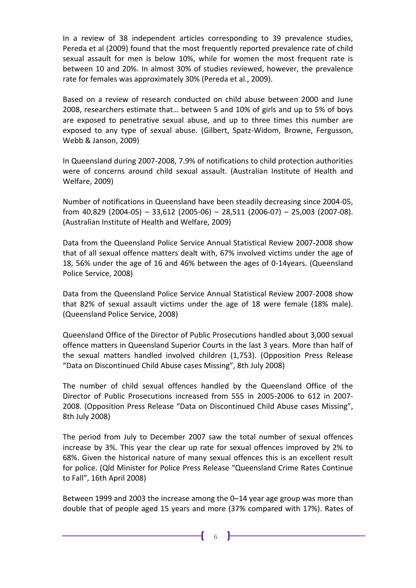In a review of 38 independent articles corresponding to 39 prevalence studies, Pereda et al (2009) found that the most frequently reported prevalence rate of child sexual assault for men is below 10%, while for women the most frequent rate is between 10 and 20%. In almost 30% of studies reviewed, however, the prevalence rate for females was approximately 30% (Pereda et al., 2009).

Based on a review of research conducted on child abuse between 2000 and June 2008, researchers estimate that… between 5 and 10% of girls and up to 5% of boys are exposed to penetrative sexual abuse, and up to three times this number are exposed to any type of sexual abuse. (Gilbert, Spatz-Widom, Browne, Fergusson, Webb & Janson, 2009)

In Queensland during 2007-2008, 7.9% of notifications to child protection authorities were of concerns around child sexual assault. (Australian Institute of Health and Welfare, 2009)

Number of notifications in Queensland have been steadily decreasing since 2004-05, from 40,829 (2004-05) – 33,612 (2005-06) – 28,511 (2006-07) – 25,003 (2007-08). (Australian Institute of Health and Welfare, 2009)

Data from the Queensland Police Service Annual Statistical Review 2007-2008 show that of all sexual offence matters dealt with, 67% involved victims under the age of 18, 56% under the age of 16 and 46% between the ages of 0-14years. (Queensland Police Service, 2008)

Data from the Queensland Police Service Annual Statistical Review 2007-2008 show that 82% of sexual assault victims under the age of 18 were female (18% male). (Queensland Police Service, 2008)

Queensland Office of the Director of Public Prosecutions handled about 3,000 sexual offence matters in Queensland Superior Courts in the last 3 years. More than half of the sexual matters handled involved children (1,753). (Opposition Press Release "Data on Discontinued Child Abuse cases Missing", 8th July 2008)

The number of child sexual offences handled by the Queensland Office of the Director of Public Prosecutions increased from 555 in 2005-2006 to 612 in 2007- 2008. (Opposition Press Release "Data on Discontinued Child Abuse cases Missing", 8th July 2008)

The period from July to December 2007 saw the total number of sexual offences increase by 3%. This year the clear up rate for sexual offences improved by 2% to 68%. Given the historical nature of many sexual offences this is an excellent result for police. (Qld Minister for Police Press Release "Queensland Crime Rates Continue to Fall", 16th April 2008)

Between 1999 and 2003 the increase among the 0–14 year age group was more than double that of people aged 15 years and more (37% compared with 17%). Rates of

ſ

6 **F**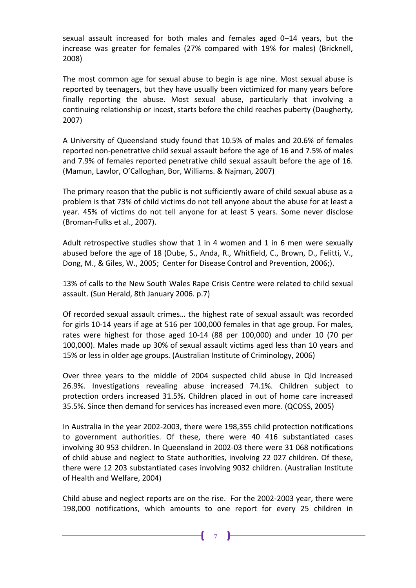sexual assault increased for both males and females aged 0–14 years, but the increase was greater for females (27% compared with 19% for males) (Bricknell, 2008)

The most common age for sexual abuse to begin is age nine. Most sexual abuse is reported by teenagers, but they have usually been victimized for many years before finally reporting the abuse. Most sexual abuse, particularly that involving a continuing relationship or incest, starts before the child reaches puberty (Daugherty, 2007)

A University of Queensland study found that 10.5% of males and 20.6% of females reported non-penetrative child sexual assault before the age of 16 and 7.5% of males and 7.9% of females reported penetrative child sexual assault before the age of 16. (Mamun, Lawlor, O'Calloghan, Bor, Williams. & Najman, 2007)

The primary reason that the public is not sufficiently aware of child sexual abuse as a problem is that 73% of child victims do not tell anyone about the abuse for at least a year. 45% of victims do not tell anyone for at least 5 years. Some never disclose (Broman-Fulks et al., 2007).

Adult retrospective studies show that 1 in 4 women and 1 in 6 men were sexually abused before the age of 18 (Dube, S., Anda, R., Whitfield, C., Brown, D., Felitti, V., Dong, M., & Giles, W., 2005; Center for Disease Control and Prevention, 2006;).

13% of calls to the New South Wales Rape Crisis Centre were related to child sexual assault. (Sun Herald, 8th January 2006. p.7)

Of recorded sexual assault crimes… the highest rate of sexual assault was recorded for girls 10-14 years if age at 516 per 100,000 females in that age group. For males, rates were highest for those aged 10-14 (88 per 100,000) and under 10 (70 per 100,000). Males made up 30% of sexual assault victims aged less than 10 years and 15% or less in older age groups. (Australian Institute of Criminology, 2006)

Over three years to the middle of 2004 suspected child abuse in Qld increased 26.9%. Investigations revealing abuse increased 74.1%. Children subject to protection orders increased 31.5%. Children placed in out of home care increased 35.5%. Since then demand for services has increased even more. (QCOSS, 2005)

In Australia in the year 2002-2003, there were 198,355 child protection notifications to government authorities. Of these, there were 40 416 substantiated cases involving 30 953 children. In Queensland in 2002-03 there were 31 068 notifications of child abuse and neglect to State authorities, involving 22 027 children. Of these, there were 12 203 substantiated cases involving 9032 children. (Australian Institute of Health and Welfare, 2004)

Child abuse and neglect reports are on the rise. For the 2002-2003 year, there were 198,000 notifications, which amounts to one report for every 25 children in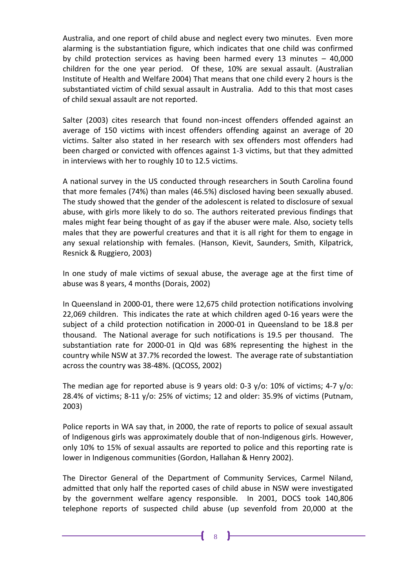Australia, and one report of child abuse and neglect every two minutes. Even more alarming is the substantiation figure, which indicates that one child was confirmed by child protection services as having been harmed every 13 minutes – 40,000 children for the one year period. Of these, 10% are sexual assault. (Australian Institute of Health and Welfare 2004) That means that one child every 2 hours is the substantiated victim of child sexual assault in Australia. Add to this that most cases of child sexual assault are not reported.

Salter (2003) cites research that found non-incest offenders offended against an average of 150 victims with incest offenders offending against an average of 20 victims. Salter also stated in her research with sex offenders most offenders had been charged or convicted with offences against 1-3 victims, but that they admitted in interviews with her to roughly 10 to 12.5 victims.

A national survey in the US conducted through researchers in South Carolina found that more females (74%) than males (46.5%) disclosed having been sexually abused. The study showed that the gender of the adolescent is related to disclosure of sexual abuse, with girls more likely to do so. The authors reiterated previous findings that males might fear being thought of as gay if the abuser were male. Also, society tells males that they are powerful creatures and that it is all right for them to engage in any sexual relationship with females. (Hanson, Kievit, Saunders, Smith, Kilpatrick, Resnick & Ruggiero, 2003)

In one study of male victims of sexual abuse, the average age at the first time of abuse was 8 years, 4 months (Dorais, 2002)

In Queensland in 2000-01, there were 12,675 child protection notifications involving 22,069 children. This indicates the rate at which children aged 0-16 years were the subject of a child protection notification in 2000-01 in Queensland to be 18.8 per thousand. The National average for such notifications is 19.5 per thousand. The substantiation rate for 2000-01 in Qld was 68% representing the highest in the country while NSW at 37.7% recorded the lowest. The average rate of substantiation across the country was 38-48%. (QCOSS, 2002)

The median age for reported abuse is 9 years old: 0-3 y/o: 10% of victims; 4-7 y/o: 28.4% of victims; 8-11 y/o: 25% of victims; 12 and older: 35.9% of victims (Putnam, 2003)

Police reports in WA say that, in 2000, the rate of reports to police of sexual assault of Indigenous girls was approximately double that of non-Indigenous girls. However, only 10% to 15% of sexual assaults are reported to police and this reporting rate is lower in Indigenous communities (Gordon, Hallahan & Henry 2002).

The Director General of the Department of Community Services, Carmel Niland, admitted that only half the reported cases of child abuse in NSW were investigated by the government welfare agency responsible. In 2001, DOCS took 140,806 telephone reports of suspected child abuse (up sevenfold from 20,000 at the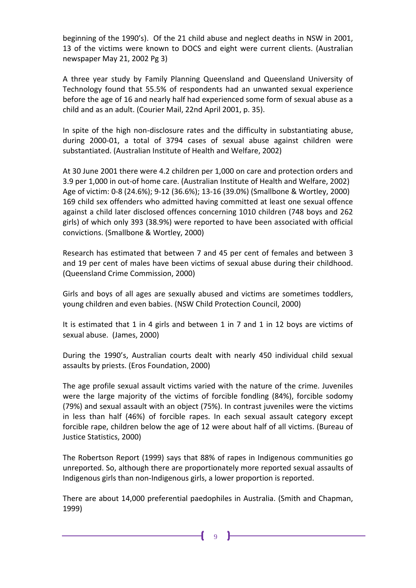beginning of the 1990's). Of the 21 child abuse and neglect deaths in NSW in 2001, 13 of the victims were known to DOCS and eight were current clients. (Australian newspaper May 21, 2002 Pg 3)

A three year study by Family Planning Queensland and Queensland University of Technology found that 55.5% of respondents had an unwanted sexual experience before the age of 16 and nearly half had experienced some form of sexual abuse as a child and as an adult. (Courier Mail, 22nd April 2001, p. 35).

In spite of the high non-disclosure rates and the difficulty in substantiating abuse, during 2000-01, a total of 3794 cases of sexual abuse against children were substantiated. (Australian Institute of Health and Welfare, 2002)

At 30 June 2001 there were 4.2 children per 1,000 on care and protection orders and 3.9 per 1,000 in out-of home care. (Australian Institute of Health and Welfare, 2002) Age of victim: 0-8 (24.6%); 9-12 (36.6%); 13-16 (39.0%) (Smallbone & Wortley, 2000) 169 child sex offenders who admitted having committed at least one sexual offence against a child later disclosed offences concerning 1010 children (748 boys and 262 girls) of which only 393 (38.9%) were reported to have been associated with official convictions. (Smallbone & Wortley, 2000)

Research has estimated that between 7 and 45 per cent of females and between 3 and 19 per cent of males have been victims of sexual abuse during their childhood. (Queensland Crime Commission, 2000)

Girls and boys of all ages are sexually abused and victims are sometimes toddlers, young children and even babies. (NSW Child Protection Council, 2000)

It is estimated that 1 in 4 girls and between 1 in 7 and 1 in 12 boys are victims of sexual abuse. (James, 2000)

During the 1990's, Australian courts dealt with nearly 450 individual child sexual assaults by priests. (Eros Foundation, 2000)

The age profile sexual assault victims varied with the nature of the crime. Juveniles were the large majority of the victims of forcible fondling (84%), forcible sodomy (79%) and sexual assault with an object (75%). In contrast juveniles were the victims in less than half (46%) of forcible rapes. In each sexual assault category except forcible rape, children below the age of 12 were about half of all victims. (Bureau of Justice Statistics, 2000)

The Robertson Report (1999) says that 88% of rapes in Indigenous communities go unreported. So, although there are proportionately more reported sexual assaults of Indigenous girls than non-Indigenous girls, a lower proportion is reported.

There are about 14,000 preferential paedophiles in Australia. (Smith and Chapman, 1999)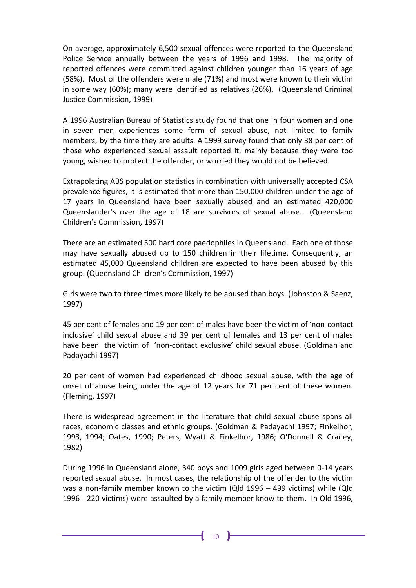On average, approximately 6,500 sexual offences were reported to the Queensland Police Service annually between the years of 1996 and 1998. The majority of reported offences were committed against children younger than 16 years of age (58%). Most of the offenders were male (71%) and most were known to their victim in some way (60%); many were identified as relatives (26%). (Queensland Criminal Justice Commission, 1999)

A 1996 Australian Bureau of Statistics study found that one in four women and one in seven men experiences some form of sexual abuse, not limited to family members, by the time they are adults. A 1999 survey found that only 38 per cent of those who experienced sexual assault reported it, mainly because they were too young, wished to protect the offender, or worried they would not be believed.

Extrapolating ABS population statistics in combination with universally accepted CSA prevalence figures, it is estimated that more than 150,000 children under the age of 17 years in Queensland have been sexually abused and an estimated 420,000 Queenslander's over the age of 18 are survivors of sexual abuse. (Queensland Children's Commission, 1997)

There are an estimated 300 hard core paedophiles in Queensland. Each one of those may have sexually abused up to 150 children in their lifetime. Consequently, an estimated 45,000 Queensland children are expected to have been abused by this group. (Queensland Children's Commission, 1997)

Girls were two to three times more likely to be abused than boys. (Johnston & Saenz, 1997)

45 per cent of females and 19 per cent of males have been the victim of 'non-contact inclusive' child sexual abuse and 39 per cent of females and 13 per cent of males have been the victim of 'non-contact exclusive' child sexual abuse. (Goldman and Padayachi 1997)

20 per cent of women had experienced childhood sexual abuse, with the age of onset of abuse being under the age of 12 years for 71 per cent of these women. (Fleming, 1997)

There is widespread agreement in the literature that child sexual abuse spans all races, economic classes and ethnic groups. (Goldman & Padayachi 1997; Finkelhor, 1993, 1994; Oates, 1990; Peters, Wyatt & Finkelhor, 1986; O'Donnell & Craney, 1982)

During 1996 in Queensland alone, 340 boys and 1009 girls aged between 0-14 years reported sexual abuse. In most cases, the relationship of the offender to the victim was a non-family member known to the victim (Qld 1996 – 499 victims) while (Qld 1996 - 220 victims) were assaulted by a family member know to them. In Qld 1996,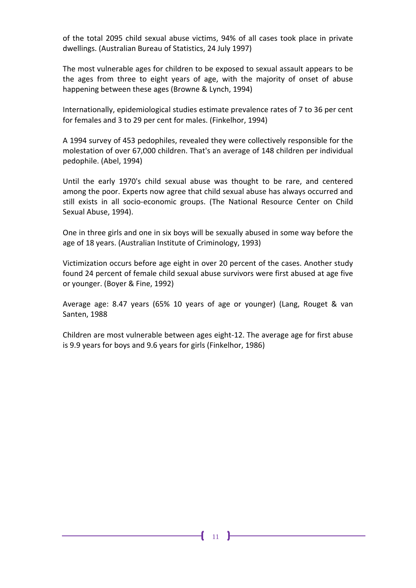of the total 2095 child sexual abuse victims, 94% of all cases took place in private dwellings. (Australian Bureau of Statistics, 24 July 1997)

The most vulnerable ages for children to be exposed to sexual assault appears to be the ages from three to eight years of age, with the majority of onset of abuse happening between these ages (Browne & Lynch, 1994)

Internationally, epidemiological studies estimate prevalence rates of 7 to 36 per cent for females and 3 to 29 per cent for males. (Finkelhor, 1994)

A 1994 survey of 453 pedophiles, revealed they were collectively responsible for the molestation of over 67,000 children. That's an average of 148 children per individual pedophile. (Abel, 1994)

Until the early 1970's child sexual abuse was thought to be rare, and centered among the poor. Experts now agree that child sexual abuse has always occurred and still exists in all socio-economic groups. (The National Resource Center on Child Sexual Abuse, 1994).

One in three girls and one in six boys will be sexually abused in some way before the age of 18 years. (Australian Institute of Criminology, 1993)

Victimization occurs before age eight in over 20 percent of the cases. Another study found 24 percent of female child sexual abuse survivors were first abused at age five or younger. (Boyer & Fine, 1992)

Average age: 8.47 years (65% 10 years of age or younger) (Lang, Rouget & van Santen, 1988

Children are most vulnerable between ages eight-12. The average age for first abuse is 9.9 years for boys and 9.6 years for girls (Finkelhor, 1986)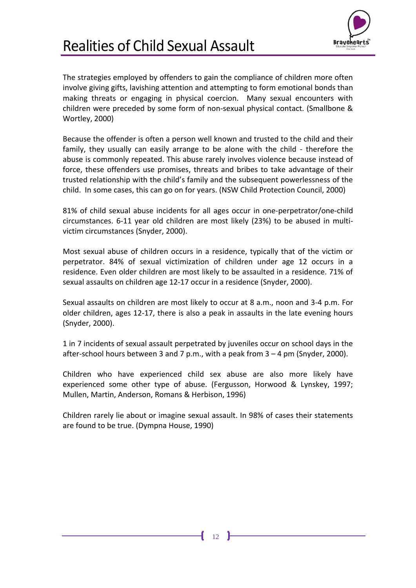

<span id="page-15-0"></span>The strategies employed by offenders to gain the compliance of children more often involve giving gifts, lavishing attention and attempting to form emotional bonds than making threats or engaging in physical coercion. Many sexual encounters with children were preceded by some form of non-sexual physical contact. (Smallbone & Wortley, 2000)

Because the offender is often a person well known and trusted to the child and their family, they usually can easily arrange to be alone with the child - therefore the abuse is commonly repeated. This abuse rarely involves violence because instead of force, these offenders use promises, threats and bribes to take advantage of their trusted relationship with the child's family and the subsequent powerlessness of the child. In some cases, this can go on for years. (NSW Child Protection Council, 2000)

81% of child sexual abuse incidents for all ages occur in one-perpetrator/one-child circumstances. 6-11 year old children are most likely (23%) to be abused in multivictim circumstances (Snyder, 2000).

Most sexual abuse of children occurs in a residence, typically that of the victim or perpetrator. 84% of sexual victimization of children under age 12 occurs in a residence. Even older children are most likely to be assaulted in a residence. 71% of sexual assaults on children age 12-17 occur in a residence (Snyder, 2000).

Sexual assaults on children are most likely to occur at 8 a.m., noon and 3-4 p.m. For older children, ages 12-17, there is also a peak in assaults in the late evening hours (Snyder, 2000).

1 in 7 incidents of sexual assault perpetrated by juveniles occur on school days in the after-school hours between 3 and 7 p.m., with a peak from 3 – 4 pm (Snyder, 2000).

Children who have experienced child sex abuse are also more likely have experienced some other type of abuse. (Fergusson, Horwood & Lynskey, 1997; Mullen, Martin, Anderson, Romans & Herbison, 1996)

Children rarely lie about or imagine sexual assault. In 98% of cases their statements are found to be true. (Dympna House, 1990)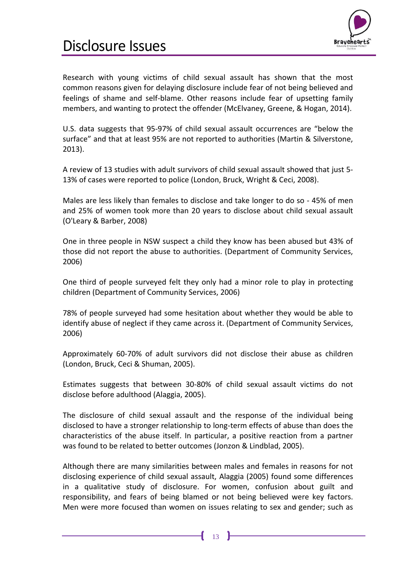

### <span id="page-16-0"></span>Disclosure Issues

Research with young victims of child sexual assault has shown that the most common reasons given for delaying disclosure include fear of not being believed and feelings of shame and self-blame. Other reasons include fear of upsetting family members, and wanting to protect the offender (McElvaney, Greene, & Hogan, 2014).

U.S. data suggests that 95-97% of child sexual assault occurrences are "below the surface" and that at least 95% are not reported to authorities (Martin & Silverstone, 2013).

A review of 13 studies with adult survivors of child sexual assault showed that just 5- 13% of cases were reported to police (London, Bruck, Wright & Ceci, 2008).

Males are less likely than females to disclose and take longer to do so - 45% of men and 25% of women took more than 20 years to disclose about child sexual assault (O'Leary & Barber, 2008)

One in three people in NSW suspect a child they know has been abused but 43% of those did not report the abuse to authorities. (Department of Community Services, 2006)

One third of people surveyed felt they only had a minor role to play in protecting children (Department of Community Services, 2006)

78% of people surveyed had some hesitation about whether they would be able to identify abuse of neglect if they came across it. (Department of Community Services, 2006)

Approximately 60-70% of adult survivors did not disclose their abuse as children (London, Bruck, Ceci & Shuman, 2005).

Estimates suggests that between 30-80% of child sexual assault victims do not disclose before adulthood (Alaggia, 2005).

The disclosure of child sexual assault and the response of the individual being disclosed to have a stronger relationship to long-term effects of abuse than does the characteristics of the abuse itself. In particular, a positive reaction from a partner was found to be related to better outcomes (Jonzon & Lindblad, 2005).

Although there are many similarities between males and females in reasons for not disclosing experience of child sexual assault, Alaggia (2005) found some differences in a qualitative study of disclosure. For women, confusion about guilt and responsibility, and fears of being blamed or not being believed were key factors. Men were more focused than women on issues relating to sex and gender; such as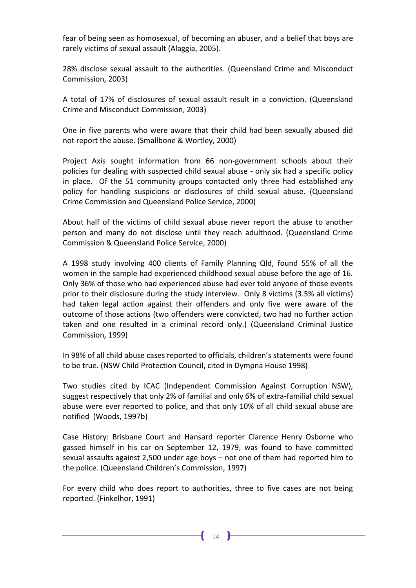fear of being seen as homosexual, of becoming an abuser, and a belief that boys are rarely victims of sexual assault (Alaggia, 2005).

28% disclose sexual assault to the authorities. (Queensland Crime and Misconduct Commission, 2003)

A total of 17% of disclosures of sexual assault result in a conviction. (Queensland Crime and Misconduct Commission, 2003)

One in five parents who were aware that their child had been sexually abused did not report the abuse. (Smallbone & Wortley, 2000)

Project Axis sought information from 66 non-government schools about their policies for dealing with suspected child sexual abuse - only six had a specific policy in place. Of the 51 community groups contacted only three had established any policy for handling suspicions or disclosures of child sexual abuse. (Queensland Crime Commission and Queensland Police Service, 2000)

About half of the victims of child sexual abuse never report the abuse to another person and many do not disclose until they reach adulthood. (Queensland Crime Commission & Queensland Police Service, 2000)

A 1998 study involving 400 clients of Family Planning Qld, found 55% of all the women in the sample had experienced childhood sexual abuse before the age of 16. Only 36% of those who had experienced abuse had ever told anyone of those events prior to their disclosure during the study interview. Only 8 victims (3.5% all victims) had taken legal action against their offenders and only five were aware of the outcome of those actions (two offenders were convicted, two had no further action taken and one resulted in a criminal record only.) (Queensland Criminal Justice Commission, 1999)

In 98% of all child abuse cases reported to officials, children's statements were found to be true. (NSW Child Protection Council, cited in Dympna House 1998)

Two studies cited by ICAC (Independent Commission Against Corruption NSW), suggest respectively that only 2% of familial and only 6% of extra-familial child sexual abuse were ever reported to police, and that only 10% of all child sexual abuse are notified (Woods, 1997b)

Case History: Brisbane Court and Hansard reporter Clarence Henry Osborne who gassed himself in his car on September 12, 1979, was found to have committed sexual assaults against 2,500 under age boys – not one of them had reported him to the police. (Queensland Children's Commission, 1997)

For every child who does report to authorities, three to five cases are not being reported. (Finkelhor, 1991)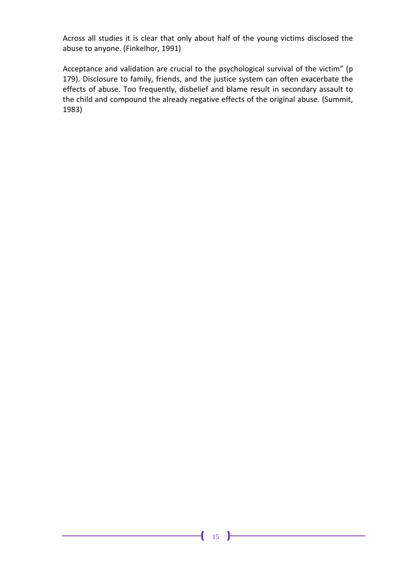Across all studies it is clear that only about half of the young victims disclosed the abuse to anyone. (Finkelhor, 1991)

Acceptance and validation are crucial to the psychological survival of the victim" (p 179). Disclosure to family, friends, and the justice system can often exacerbate the effects of abuse. Too frequently, disbelief and blame result in secondary assault to the child and compound the already negative effects of the original abuse. (Summit, 1983)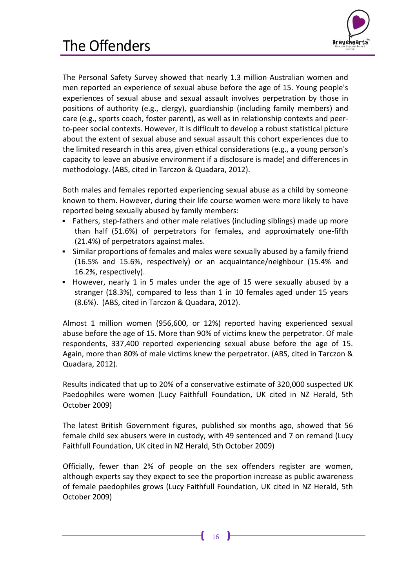

<span id="page-19-0"></span>The Personal Safety Survey showed that nearly 1.3 million Australian women and men reported an experience of sexual abuse before the age of 15. Young people's experiences of sexual abuse and sexual assault involves perpetration by those in positions of authority (e.g., clergy), guardianship (including family members) and care (e.g., sports coach, foster parent), as well as in relationship contexts and peerto-peer social contexts. However, it is difficult to develop a robust statistical picture about the extent of sexual abuse and sexual assault this cohort experiences due to the limited research in this area, given ethical considerations (e.g., a young person's capacity to leave an abusive environment if a disclosure is made) and differences in methodology. (ABS, cited in Tarczon & Quadara, 2012).

Both males and females reported experiencing sexual abuse as a child by someone known to them. However, during their life course women were more likely to have reported being sexually abused by family members:

- Fathers, step-fathers and other male relatives (including siblings) made up more than half (51.6%) of perpetrators for females, and approximately one-fifth (21.4%) of perpetrators against males.
- Similar proportions of females and males were sexually abused by a family friend (16.5% and 15.6%, respectively) or an acquaintance/neighbour (15.4% and 16.2%, respectively).
- However, nearly 1 in 5 males under the age of 15 were sexually abused by a stranger (18.3%), compared to less than 1 in 10 females aged under 15 years (8.6%). (ABS, cited in Tarczon & Quadara, 2012).

Almost 1 million women (956,600, or 12%) reported having experienced sexual abuse before the age of 15. More than 90% of victims knew the perpetrator. Of male respondents, 337,400 reported experiencing sexual abuse before the age of 15. Again, more than 80% of male victims knew the perpetrator. (ABS, cited in Tarczon & Quadara, 2012).

Results indicated that up to 20% of a conservative estimate of 320,000 suspected UK Paedophiles were women (Lucy Faithfull Foundation, UK cited in NZ Herald, 5th October 2009)

The latest British Government figures, published six months ago, showed that 56 female child sex abusers were in custody, with 49 sentenced and 7 on remand (Lucy Faithfull Foundation, UK cited in NZ Herald, 5th October 2009)

Officially, fewer than 2% of people on the sex offenders register are women, although experts say they expect to see the proportion increase as public awareness of female paedophiles grows (Lucy Faithfull Foundation, UK cited in NZ Herald, 5th October 2009)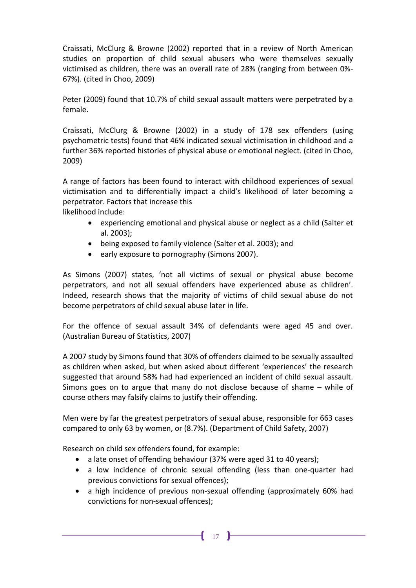Craissati, McClurg & Browne (2002) reported that in a review of North American studies on proportion of child sexual abusers who were themselves sexually victimised as children, there was an overall rate of 28% (ranging from between 0%- 67%). (cited in Choo, 2009)

Peter (2009) found that 10.7% of child sexual assault matters were perpetrated by a female.

Craissati, McClurg & Browne (2002) in a study of 178 sex offenders (using psychometric tests) found that 46% indicated sexual victimisation in childhood and a further 36% reported histories of physical abuse or emotional neglect. (cited in Choo, 2009)

A range of factors has been found to interact with childhood experiences of sexual victimisation and to differentially impact a child's likelihood of later becoming a perpetrator. Factors that increase this

likelihood include:

- experiencing emotional and physical abuse or neglect as a child (Salter et al. 2003);
- being exposed to family violence (Salter et al. 2003); and
- early exposure to pornography (Simons 2007).

As Simons (2007) states, 'not all victims of sexual or physical abuse become perpetrators, and not all sexual offenders have experienced abuse as children'. Indeed, research shows that the majority of victims of child sexual abuse do not become perpetrators of child sexual abuse later in life.

For the offence of sexual assault 34% of defendants were aged 45 and over. (Australian Bureau of Statistics, 2007)

A 2007 study by Simons found that 30% of offenders claimed to be sexually assaulted as children when asked, but when asked about different 'experiences' the research suggested that around 58% had had experienced an incident of child sexual assault. Simons goes on to argue that many do not disclose because of shame – while of course others may falsify claims to justify their offending.

Men were by far the greatest perpetrators of sexual abuse, responsible for 663 cases compared to only 63 by women, or (8.7%). (Department of Child Safety, 2007)

Research on child sex offenders found, for example:

- a late onset of offending behaviour (37% were aged 31 to 40 years);
- a low incidence of chronic sexual offending (less than one-quarter had previous convictions for sexual offences);
- a high incidence of previous non-sexual offending (approximately 60% had convictions for non-sexual offences);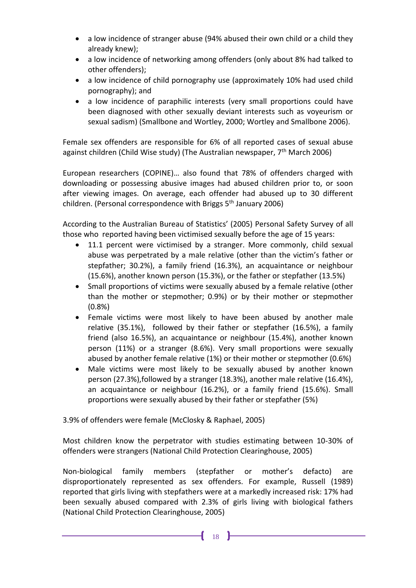- a low incidence of stranger abuse (94% abused their own child or a child they already knew);
- a low incidence of networking among offenders (only about 8% had talked to other offenders);
- a low incidence of child pornography use (approximately 10% had used child pornography); and
- a low incidence of paraphilic interests (very small proportions could have been diagnosed with other sexually deviant interests such as voyeurism or sexual sadism) (Smallbone and Wortley, 2000; Wortley and Smallbone 2006).

Female sex offenders are responsible for 6% of all reported cases of sexual abuse against children (Child Wise study) (The Australian newspaper,  $7<sup>th</sup>$  March 2006)

European researchers (COPINE)… also found that 78% of offenders charged with downloading or possessing abusive images had abused children prior to, or soon after viewing images. On average, each offender had abused up to 30 different children. (Personal correspondence with Briggs 5<sup>th</sup> January 2006)

According to the Australian Bureau of Statistics' (2005) Personal Safety Survey of all those who reported having been victimised sexually before the age of 15 years:

- 11.1 percent were victimised by a stranger. More commonly, child sexual abuse was perpetrated by a male relative (other than the victim's father or stepfather; 30.2%), a family friend (16.3%), an acquaintance or neighbour (15.6%), another known person (15.3%), or the father or stepfather (13.5%)
- Small proportions of victims were sexually abused by a female relative (other than the mother or stepmother; 0.9%) or by their mother or stepmother (0.8%)
- Female victims were most likely to have been abused by another male relative (35.1%), followed by their father or stepfather (16.5%), a family friend (also 16.5%), an acquaintance or neighbour (15.4%), another known person (11%) or a stranger (8.6%). Very small proportions were sexually abused by another female relative (1%) or their mother or stepmother (0.6%)
- Male victims were most likely to be sexually abused by another known person (27.3%),followed by a stranger (18.3%), another male relative (16.4%), an acquaintance or neighbour (16.2%), or a family friend (15.6%). Small proportions were sexually abused by their father or stepfather (5%)

3.9% of offenders were female (McClosky & Raphael, 2005)

Most children know the perpetrator with studies estimating between 10-30% of offenders were strangers (National Child Protection Clearinghouse, 2005)

Non-biological family members (stepfather or mother's defacto) are disproportionately represented as sex offenders. For example, Russell (1989) reported that girls living with stepfathers were at a markedly increased risk: 17% had been sexually abused compared with 2.3% of girls living with biological fathers (National Child Protection Clearinghouse, 2005)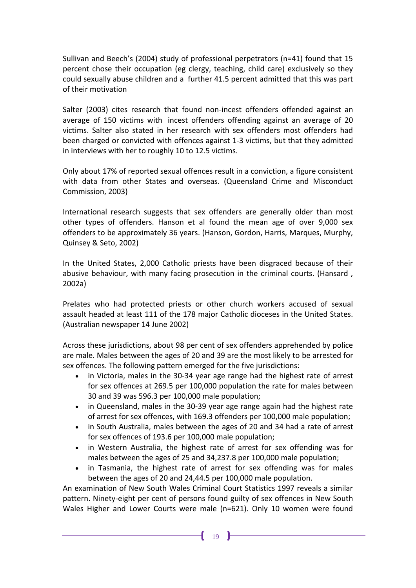Sullivan and Beech's (2004) study of professional perpetrators (n=41) found that 15 percent chose their occupation (eg clergy, teaching, child care) exclusively so they could sexually abuse children and a further 41.5 percent admitted that this was part of their motivation

Salter (2003) cites research that found non-incest offenders offended against an average of 150 victims with incest offenders offending against an average of 20 victims. Salter also stated in her research with sex offenders most offenders had been charged or convicted with offences against 1-3 victims, but that they admitted in interviews with her to roughly 10 to 12.5 victims.

Only about 17% of reported sexual offences result in a conviction, a figure consistent with data from other States and overseas. (Queensland Crime and Misconduct Commission, 2003)

International research suggests that sex offenders are generally older than most other types of offenders. Hanson et al found the mean age of over 9,000 sex offenders to be approximately 36 years. (Hanson, Gordon, Harris, Marques, Murphy, Quinsey & Seto, 2002)

In the United States, 2,000 Catholic priests have been disgraced because of their abusive behaviour, with many facing prosecution in the criminal courts. (Hansard , 2002a)

Prelates who had protected priests or other church workers accused of sexual assault headed at least 111 of the 178 major Catholic dioceses in the United States. (Australian newspaper 14 June 2002)

Across these jurisdictions, about 98 per cent of sex offenders apprehended by police are male. Males between the ages of 20 and 39 are the most likely to be arrested for sex offences. The following pattern emerged for the five jurisdictions:

- in Victoria, males in the 30-34 year age range had the highest rate of arrest for sex offences at 269.5 per 100,000 population the rate for males between 30 and 39 was 596.3 per 100,000 male population;
- in Queensland, males in the 30-39 year age range again had the highest rate of arrest for sex offences, with 169.3 offenders per 100,000 male population;
- in South Australia, males between the ages of 20 and 34 had a rate of arrest for sex offences of 193.6 per 100,000 male population;
- in Western Australia, the highest rate of arrest for sex offending was for males between the ages of 25 and 34,237.8 per 100,000 male population;
- in Tasmania, the highest rate of arrest for sex offending was for males between the ages of 20 and 24,44.5 per 100,000 male population.

An examination of New South Wales Criminal Court Statistics 1997 reveals a similar pattern. Ninety-eight per cent of persons found guilty of sex offences in New South Wales Higher and Lower Courts were male (n=621). Only 10 women were found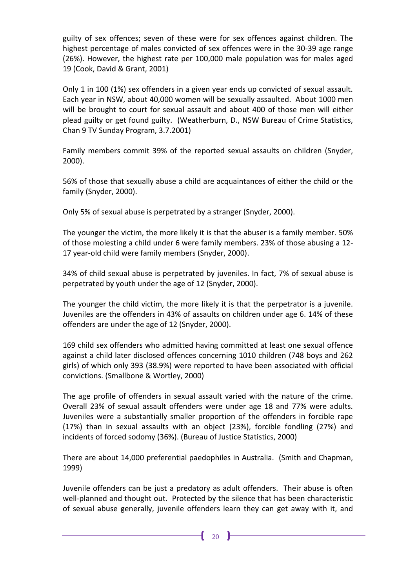guilty of sex offences; seven of these were for sex offences against children. The highest percentage of males convicted of sex offences were in the 30-39 age range (26%). However, the highest rate per 100,000 male population was for males aged 19 (Cook, David & Grant, 2001)

Only 1 in 100 (1%) sex offenders in a given year ends up convicted of sexual assault. Each year in NSW, about 40,000 women will be sexually assaulted. About 1000 men will be brought to court for sexual assault and about 400 of those men will either plead guilty or get found guilty. (Weatherburn, D., NSW Bureau of Crime Statistics, Chan 9 TV Sunday Program, 3.7.2001)

Family members commit 39% of the reported sexual assaults on children (Snyder, 2000).

56% of those that sexually abuse a child are acquaintances of either the child or the family (Snyder, 2000).

Only 5% of sexual abuse is perpetrated by a stranger (Snyder, 2000).

The younger the victim, the more likely it is that the abuser is a family member. 50% of those molesting a child under 6 were family members. 23% of those abusing a 12- 17 year-old child were family members (Snyder, 2000).

34% of child sexual abuse is perpetrated by juveniles. In fact, 7% of sexual abuse is perpetrated by youth under the age of 12 (Snyder, 2000).

The younger the child victim, the more likely it is that the perpetrator is a juvenile. Juveniles are the offenders in 43% of assaults on children under age 6. 14% of these offenders are under the age of 12 (Snyder, 2000).

169 child sex offenders who admitted having committed at least one sexual offence against a child later disclosed offences concerning 1010 children (748 boys and 262 girls) of which only 393 (38.9%) were reported to have been associated with official convictions. (Smallbone & Wortley, 2000)

The age profile of offenders in sexual assault varied with the nature of the crime. Overall 23% of sexual assault offenders were under age 18 and 77% were adults. Juveniles were a substantially smaller proportion of the offenders in forcible rape (17%) than in sexual assaults with an object (23%), forcible fondling (27%) and incidents of forced sodomy (36%). (Bureau of Justice Statistics, 2000)

There are about 14,000 preferential paedophiles in Australia. (Smith and Chapman, 1999)

Juvenile offenders can be just a predatory as adult offenders. Their abuse is often well-planned and thought out. Protected by the silence that has been characteristic of sexual abuse generally, juvenile offenders learn they can get away with it, and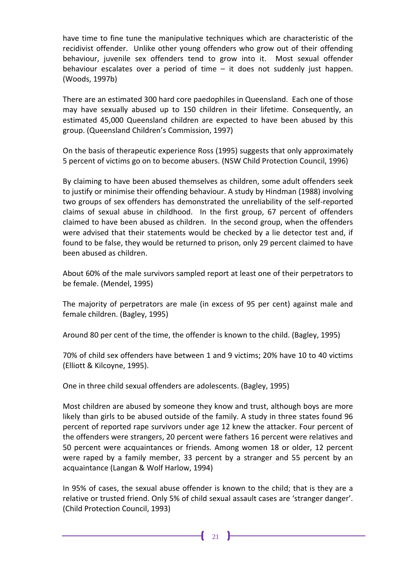have time to fine tune the manipulative techniques which are characteristic of the recidivist offender. Unlike other young offenders who grow out of their offending behaviour, juvenile sex offenders tend to grow into it. Most sexual offender behaviour escalates over a period of time – it does not suddenly just happen. (Woods, 1997b)

There are an estimated 300 hard core paedophiles in Queensland. Each one of those may have sexually abused up to 150 children in their lifetime. Consequently, an estimated 45,000 Queensland children are expected to have been abused by this group. (Queensland Children's Commission, 1997)

On the basis of therapeutic experience Ross (1995) suggests that only approximately 5 percent of victims go on to become abusers. (NSW Child Protection Council, 1996)

By claiming to have been abused themselves as children, some adult offenders seek to justify or minimise their offending behaviour. A study by Hindman (1988) involving two groups of sex offenders has demonstrated the unreliability of the self-reported claims of sexual abuse in childhood. In the first group, 67 percent of offenders claimed to have been abused as children. In the second group, when the offenders were advised that their statements would be checked by a lie detector test and, if found to be false, they would be returned to prison, only 29 percent claimed to have been abused as children.

About 60% of the male survivors sampled report at least one of their perpetrators to be female. (Mendel, 1995)

The majority of perpetrators are male (in excess of 95 per cent) against male and female children. (Bagley, 1995)

Around 80 per cent of the time, the offender is known to the child. (Bagley, 1995)

70% of child sex offenders have between 1 and 9 victims; 20% have 10 to 40 victims (Elliott & Kilcoyne, 1995).

One in three child sexual offenders are adolescents. (Bagley, 1995)

Most children are abused by someone they know and trust, although boys are more likely than girls to be abused outside of the family. A study in three states found 96 percent of reported rape survivors under age 12 knew the attacker. Four percent of the offenders were strangers, 20 percent were fathers 16 percent were relatives and 50 percent were acquaintances or friends. Among women 18 or older, 12 percent were raped by a family member, 33 percent by a stranger and 55 percent by an acquaintance (Langan & Wolf Harlow, 1994)

In 95% of cases, the sexual abuse offender is known to the child; that is they are a relative or trusted friend. Only 5% of child sexual assault cases are 'stranger danger'. (Child Protection Council, 1993)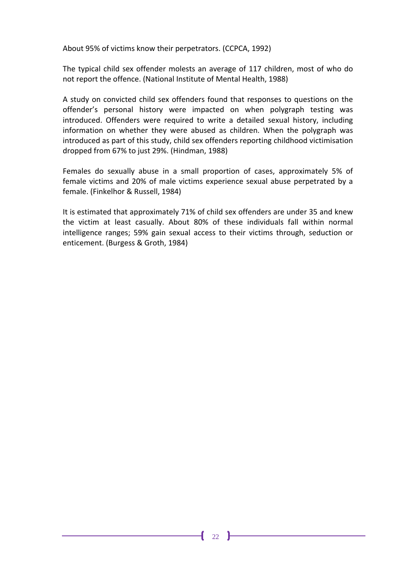About 95% of victims know their perpetrators. (CCPCA, 1992)

The typical child sex offender molests an average of 117 children, most of who do not report the offence. (National Institute of Mental Health, 1988)

A study on convicted child sex offenders found that responses to questions on the offender's personal history were impacted on when polygraph testing was introduced. Offenders were required to write a detailed sexual history, including information on whether they were abused as children. When the polygraph was introduced as part of this study, child sex offenders reporting childhood victimisation dropped from 67% to just 29%. (Hindman, 1988)

Females do sexually abuse in a small proportion of cases, approximately 5% of female victims and 20% of male victims experience sexual abuse perpetrated by a female. (Finkelhor & Russell, 1984)

It is estimated that approximately 71% of child sex offenders are under 35 and knew the victim at least casually. About 80% of these individuals fall within normal intelligence ranges; 59% gain sexual access to their victims through, seduction or enticement. (Burgess & Groth, 1984)

 $\mathbf{f}$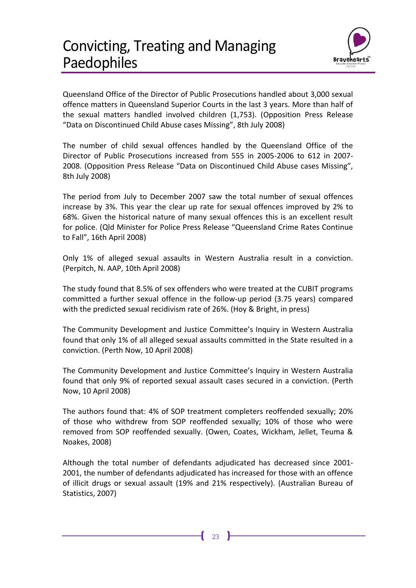

<span id="page-26-0"></span>Queensland Office of the Director of Public Prosecutions handled about 3,000 sexual offence matters in Queensland Superior Courts in the last 3 years. More than half of the sexual matters handled involved children (1,753). (Opposition Press Release "Data on Discontinued Child Abuse cases Missing", 8th July 2008)

The number of child sexual offences handled by the Queensland Office of the Director of Public Prosecutions increased from 555 in 2005-2006 to 612 in 2007- 2008. (Opposition Press Release "Data on Discontinued Child Abuse cases Missing", 8th July 2008)

The period from July to December 2007 saw the total number of sexual offences increase by 3%. This year the clear up rate for sexual offences improved by 2% to 68%. Given the historical nature of many sexual offences this is an excellent result for police. (Qld Minister for Police Press Release "Queensland Crime Rates Continue to Fall", 16th April 2008)

Only 1% of alleged sexual assaults in Western Australia result in a conviction. (Perpitch, N. AAP, 10th April 2008)

The study found that 8.5% of sex offenders who were treated at the CUBIT programs committed a further sexual offence in the follow-up period (3.75 years) compared with the predicted sexual recidivism rate of 26%. (Hoy & Bright, in press)

The Community Development and Justice Committee's Inquiry in Western Australia found that only 1% of all alleged sexual assaults committed in the State resulted in a conviction. (Perth Now, 10 April 2008)

The Community Development and Justice Committee's Inquiry in Western Australia found that only 9% of reported sexual assault cases secured in a conviction. (Perth Now, 10 April 2008)

The authors found that: 4% of SOP treatment completers reoffended sexually; 20% of those who withdrew from SOP reoffended sexually; 10% of those who were removed from SOP reoffended sexually. (Owen, Coates, Wickham, Jellet, Teuma & Noakes, 2008)

Although the total number of defendants adjudicated has decreased since 2001- 2001, the number of defendants adjudicated has increased for those with an offence of illicit drugs or sexual assault (19% and 21% respectively). (Australian Bureau of Statistics, 2007)

 $\mathbf{f}$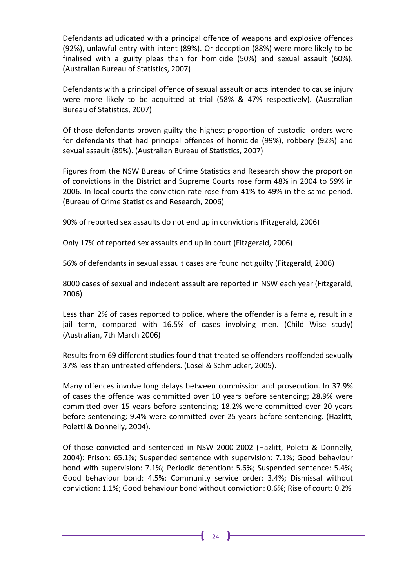Defendants adjudicated with a principal offence of weapons and explosive offences (92%), unlawful entry with intent (89%). Or deception (88%) were more likely to be finalised with a guilty pleas than for homicide (50%) and sexual assault (60%). (Australian Bureau of Statistics, 2007)

Defendants with a principal offence of sexual assault or acts intended to cause injury were more likely to be acquitted at trial (58% & 47% respectively). (Australian Bureau of Statistics, 2007)

Of those defendants proven guilty the highest proportion of custodial orders were for defendants that had principal offences of homicide (99%), robbery (92%) and sexual assault (89%). (Australian Bureau of Statistics, 2007)

Figures from the NSW Bureau of Crime Statistics and Research show the proportion of convictions in the District and Supreme Courts rose form 48% in 2004 to 59% in 2006. In local courts the conviction rate rose from 41% to 49% in the same period. (Bureau of Crime Statistics and Research, 2006)

90% of reported sex assaults do not end up in convictions (Fitzgerald, 2006)

Only 17% of reported sex assaults end up in court (Fitzgerald, 2006)

56% of defendants in sexual assault cases are found not guilty (Fitzgerald, 2006)

8000 cases of sexual and indecent assault are reported in NSW each year (Fitzgerald, 2006)

Less than 2% of cases reported to police, where the offender is a female, result in a jail term, compared with 16.5% of cases involving men. (Child Wise study) (Australian, 7th March 2006)

Results from 69 different studies found that treated se offenders reoffended sexually 37% less than untreated offenders. (Losel & Schmucker, 2005).

Many offences involve long delays between commission and prosecution. In 37.9% of cases the offence was committed over 10 years before sentencing; 28.9% were committed over 15 years before sentencing; 18.2% were committed over 20 years before sentencing; 9.4% were committed over 25 years before sentencing. (Hazlitt, Poletti & Donnelly, 2004).

Of those convicted and sentenced in NSW 2000-2002 (Hazlitt, Poletti & Donnelly, 2004): Prison: 65.1%; Suspended sentence with supervision: 7.1%; Good behaviour bond with supervision: 7.1%; Periodic detention: 5.6%; Suspended sentence: 5.4%; Good behaviour bond: 4.5%; Community service order: 3.4%; Dismissal without conviction: 1.1%; Good behaviour bond without conviction: 0.6%; Rise of court: 0.2%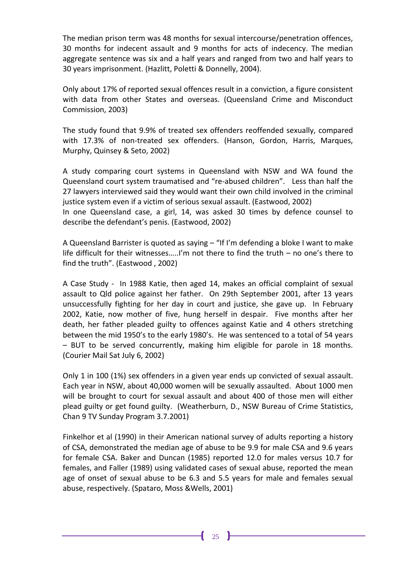The median prison term was 48 months for sexual intercourse/penetration offences, 30 months for indecent assault and 9 months for acts of indecency. The median aggregate sentence was six and a half years and ranged from two and half years to 30 years imprisonment. (Hazlitt, Poletti & Donnelly, 2004).

Only about 17% of reported sexual offences result in a conviction, a figure consistent with data from other States and overseas. (Queensland Crime and Misconduct Commission, 2003)

The study found that 9.9% of treated sex offenders reoffended sexually, compared with 17.3% of non-treated sex offenders. (Hanson, Gordon, Harris, Marques, Murphy, Quinsey & Seto, 2002)

A study comparing court systems in Queensland with NSW and WA found the Queensland court system traumatised and "re-abused children". Less than half the 27 lawyers interviewed said they would want their own child involved in the criminal justice system even if a victim of serious sexual assault. (Eastwood, 2002)

In one Queensland case, a girl, 14, was asked 30 times by defence counsel to describe the defendant's penis. (Eastwood, 2002)

A Queensland Barrister is quoted as saying – "If I'm defending a bloke I want to make life difficult for their witnesses…..I'm not there to find the truth – no one's there to find the truth". (Eastwood , 2002)

A Case Study - In 1988 Katie, then aged 14, makes an official complaint of sexual assault to Qld police against her father. On 29th September 2001, after 13 years unsuccessfully fighting for her day in court and justice, she gave up. In February 2002, Katie, now mother of five, hung herself in despair. Five months after her death, her father pleaded guilty to offences against Katie and 4 others stretching between the mid 1950's to the early 1980's. He was sentenced to a total of 54 years – BUT to be served concurrently, making him eligible for parole in 18 months. (Courier Mail Sat July 6, 2002)

Only 1 in 100 (1%) sex offenders in a given year ends up convicted of sexual assault. Each year in NSW, about 40,000 women will be sexually assaulted. About 1000 men will be brought to court for sexual assault and about 400 of those men will either plead guilty or get found guilty. (Weatherburn, D., NSW Bureau of Crime Statistics, Chan 9 TV Sunday Program 3.7.2001)

Finkelhor et al (1990) in their American national survey of adults reporting a history of CSA, demonstrated the median age of abuse to be 9.9 for male CSA and 9.6 years for female CSA. Baker and Duncan (1985) reported 12.0 for males versus 10.7 for females, and Faller (1989) using validated cases of sexual abuse, reported the mean age of onset of sexual abuse to be 6.3 and 5.5 years for male and females sexual abuse, respectively. (Spataro, Moss &Wells, 2001)

 $\mathbf{f}$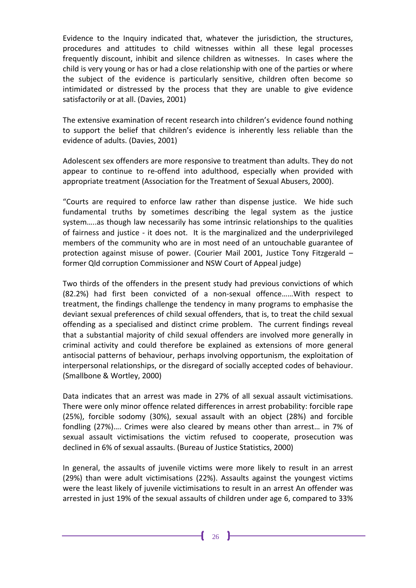Evidence to the Inquiry indicated that, whatever the jurisdiction, the structures, procedures and attitudes to child witnesses within all these legal processes frequently discount, inhibit and silence children as witnesses. In cases where the child is very young or has or had a close relationship with one of the parties or where the subject of the evidence is particularly sensitive, children often become so intimidated or distressed by the process that they are unable to give evidence satisfactorily or at all. (Davies, 2001)

The extensive examination of recent research into children's evidence found nothing to support the belief that children's evidence is inherently less reliable than the evidence of adults. (Davies, 2001)

Adolescent sex offenders are more responsive to treatment than adults. They do not appear to continue to re-offend into adulthood, especially when provided with appropriate treatment (Association for the Treatment of Sexual Abusers, 2000).

"Courts are required to enforce law rather than dispense justice. We hide such fundamental truths by sometimes describing the legal system as the justice system…..as though law necessarily has some intrinsic relationships to the qualities of fairness and justice - it does not. It is the marginalized and the underprivileged members of the community who are in most need of an untouchable guarantee of protection against misuse of power. (Courier Mail 2001, Justice Tony Fitzgerald – former Qld corruption Commissioner and NSW Court of Appeal judge)

Two thirds of the offenders in the present study had previous convictions of which (82.2%) had first been convicted of a non-sexual offence……With respect to treatment, the findings challenge the tendency in many programs to emphasise the deviant sexual preferences of child sexual offenders, that is, to treat the child sexual offending as a specialised and distinct crime problem. The current findings reveal that a substantial majority of child sexual offenders are involved more generally in criminal activity and could therefore be explained as extensions of more general antisocial patterns of behaviour, perhaps involving opportunism, the exploitation of interpersonal relationships, or the disregard of socially accepted codes of behaviour. (Smallbone & Wortley, 2000)

Data indicates that an arrest was made in 27% of all sexual assault victimisations. There were only minor offence related differences in arrest probability: forcible rape (25%), forcible sodomy (30%), sexual assault with an object (28%) and forcible fondling (27%)…. Crimes were also cleared by means other than arrest… in 7% of sexual assault victimisations the victim refused to cooperate, prosecution was declined in 6% of sexual assaults. (Bureau of Justice Statistics, 2000)

In general, the assaults of juvenile victims were more likely to result in an arrest (29%) than were adult victimisations (22%). Assaults against the youngest victims were the least likely of juvenile victimisations to result in an arrest An offender was arrested in just 19% of the sexual assaults of children under age 6, compared to 33%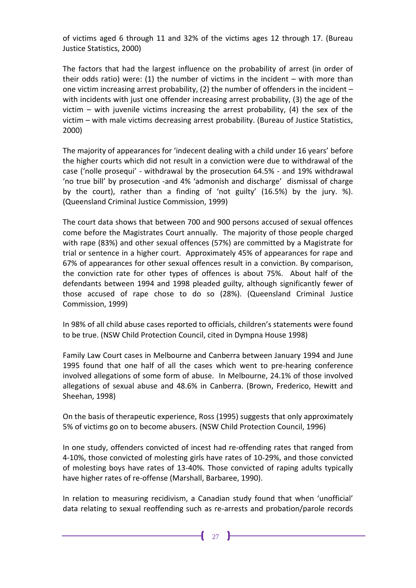of victims aged 6 through 11 and 32% of the victims ages 12 through 17. (Bureau Justice Statistics, 2000)

The factors that had the largest influence on the probability of arrest (in order of their odds ratio) were:  $(1)$  the number of victims in the incident – with more than one victim increasing arrest probability,  $(2)$  the number of offenders in the incident – with incidents with just one offender increasing arrest probability, (3) the age of the victim – with juvenile victims increasing the arrest probability,  $(4)$  the sex of the victim – with male victims decreasing arrest probability. (Bureau of Justice Statistics, 2000)

The majority of appearances for 'indecent dealing with a child under 16 years' before the higher courts which did not result in a conviction were due to withdrawal of the case ('nolle prosequi' - withdrawal by the prosecution 64.5% - and 19% withdrawal 'no true bill' by prosecution -and 4% 'admonish and discharge' dismissal of charge by the court), rather than a finding of 'not guilty' (16.5%) by the jury. %). (Queensland Criminal Justice Commission, 1999)

The court data shows that between 700 and 900 persons accused of sexual offences come before the Magistrates Court annually. The majority of those people charged with rape (83%) and other sexual offences (57%) are committed by a Magistrate for trial or sentence in a higher court. Approximately 45% of appearances for rape and 67% of appearances for other sexual offences result in a conviction. By comparison, the conviction rate for other types of offences is about 75%. About half of the defendants between 1994 and 1998 pleaded guilty, although significantly fewer of those accused of rape chose to do so (28%). (Queensland Criminal Justice Commission, 1999)

In 98% of all child abuse cases reported to officials, children's statements were found to be true. (NSW Child Protection Council, cited in Dympna House 1998)

Family Law Court cases in Melbourne and Canberra between January 1994 and June 1995 found that one half of all the cases which went to pre-hearing conference involved allegations of some form of abuse. In Melbourne, 24.1% of those involved allegations of sexual abuse and 48.6% in Canberra. (Brown, Frederico, Hewitt and Sheehan, 1998)

On the basis of therapeutic experience, Ross (1995) suggests that only approximately 5% of victims go on to become abusers. (NSW Child Protection Council, 1996)

In one study, offenders convicted of incest had re-offending rates that ranged from 4-10%, those convicted of molesting girls have rates of 10-29%, and those convicted of molesting boys have rates of 13-40%. Those convicted of raping adults typically have higher rates of re-offense (Marshall, Barbaree, 1990).

In relation to measuring recidivism, a Canadian study found that when 'unofficial' data relating to sexual reoffending such as re-arrests and probation/parole records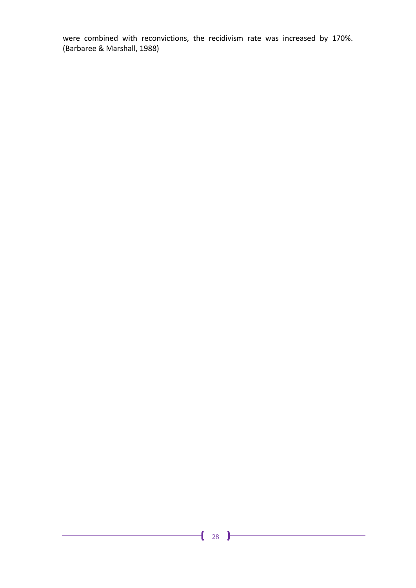were combined with reconvictions, the recidivism rate was increased by 170%. (Barbaree & Marshall, 1988)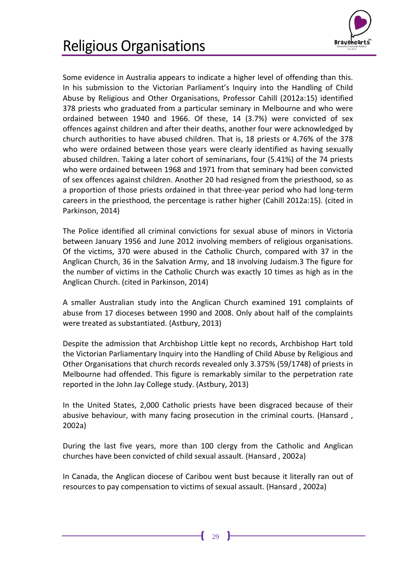

<span id="page-32-0"></span>Some evidence in Australia appears to indicate a higher level of offending than this. In his submission to the Victorian Parliament's Inquiry into the Handling of Child Abuse by Religious and Other Organisations, Professor Cahill (2012a:15) identified 378 priests who graduated from a particular seminary in Melbourne and who were ordained between 1940 and 1966. Of these, 14 (3.7%) were convicted of sex offences against children and after their deaths, another four were acknowledged by church authorities to have abused children. That is, 18 priests or 4.76% of the 378 who were ordained between those years were clearly identified as having sexually abused children. Taking a later cohort of seminarians, four (5.41%) of the 74 priests who were ordained between 1968 and 1971 from that seminary had been convicted of sex offences against children. Another 20 had resigned from the priesthood, so as a proportion of those priests ordained in that three-year period who had long-term careers in the priesthood, the percentage is rather higher (Cahill 2012a:15). (cited in Parkinson, 2014)

The Police identified all criminal convictions for sexual abuse of minors in Victoria between January 1956 and June 2012 involving members of religious organisations. Of the victims, 370 were abused in the Catholic Church, compared with 37 in the Anglican Church, 36 in the Salvation Army, and 18 involving Judaism.3 The figure for the number of victims in the Catholic Church was exactly 10 times as high as in the Anglican Church. (cited in Parkinson, 2014)

A smaller Australian study into the Anglican Church examined 191 complaints of abuse from 17 dioceses between 1990 and 2008. Only about half of the complaints were treated as substantiated. (Astbury, 2013)

Despite the admission that Archbishop Little kept no records, Archbishop Hart told the Victorian Parliamentary Inquiry into the Handling of Child Abuse by Religious and Other Organisations that church records revealed only 3.375% (59/1748) of priests in Melbourne had offended. This figure is remarkably similar to the perpetration rate reported in the John Jay College study. (Astbury, 2013)

In the United States, 2,000 Catholic priests have been disgraced because of their abusive behaviour, with many facing prosecution in the criminal courts. (Hansard , 2002a)

During the last five years, more than 100 clergy from the Catholic and Anglican churches have been convicted of child sexual assault. (Hansard , 2002a)

In Canada, the Anglican diocese of Caribou went bust because it literally ran out of resources to pay compensation to victims of sexual assault. (Hansard , 2002a)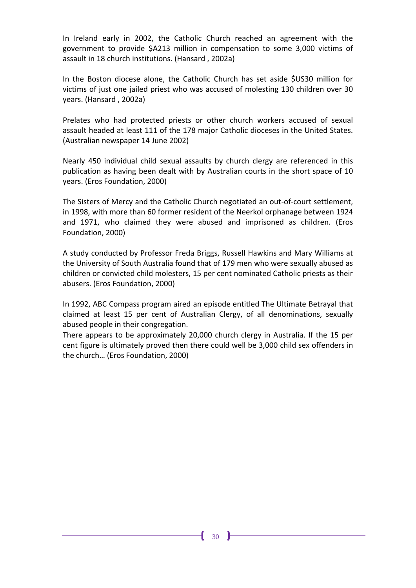In Ireland early in 2002, the Catholic Church reached an agreement with the government to provide \$A213 million in compensation to some 3,000 victims of assault in 18 church institutions. (Hansard , 2002a)

In the Boston diocese alone, the Catholic Church has set aside \$US30 million for victims of just one jailed priest who was accused of molesting 130 children over 30 years. (Hansard , 2002a)

Prelates who had protected priests or other church workers accused of sexual assault headed at least 111 of the 178 major Catholic dioceses in the United States. (Australian newspaper 14 June 2002)

Nearly 450 individual child sexual assaults by church clergy are referenced in this publication as having been dealt with by Australian courts in the short space of 10 years. (Eros Foundation, 2000)

The Sisters of Mercy and the Catholic Church negotiated an out-of-court settlement, in 1998, with more than 60 former resident of the Neerkol orphanage between 1924 and 1971, who claimed they were abused and imprisoned as children. (Eros Foundation, 2000)

A study conducted by Professor Freda Briggs, Russell Hawkins and Mary Williams at the University of South Australia found that of 179 men who were sexually abused as children or convicted child molesters, 15 per cent nominated Catholic priests as their abusers. (Eros Foundation, 2000)

In 1992, ABC Compass program aired an episode entitled The Ultimate Betrayal that claimed at least 15 per cent of Australian Clergy, of all denominations, sexually abused people in their congregation.

There appears to be approximately 20,000 church clergy in Australia. If the 15 per cent figure is ultimately proved then there could well be 3,000 child sex offenders in the church… (Eros Foundation, 2000)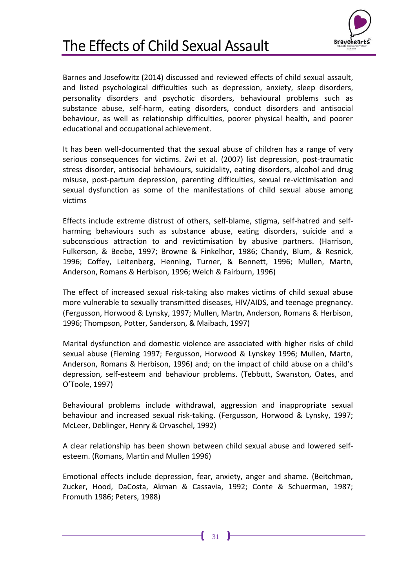<span id="page-34-0"></span>



Barnes and Josefowitz (2014) discussed and reviewed effects of child sexual assault, and listed psychological difficulties such as depression, anxiety, sleep disorders, personality disorders and psychotic disorders, behavioural problems such as substance abuse, self-harm, eating disorders, conduct disorders and antisocial behaviour, as well as relationship difficulties, poorer physical health, and poorer educational and occupational achievement.

It has been well-documented that the sexual abuse of children has a range of very serious consequences for victims. Zwi et al. (2007) list depression, post-traumatic stress disorder, antisocial behaviours, suicidality, eating disorders, alcohol and drug misuse, post-partum depression, parenting difficulties, sexual re-victimisation and sexual dysfunction as some of the manifestations of child sexual abuse among victims

Effects include extreme distrust of others, self-blame, stigma, self-hatred and selfharming behaviours such as substance abuse, eating disorders, suicide and a subconscious attraction to and revictimisation by abusive partners. (Harrison, Fulkerson, & Beebe, 1997; Browne & Finkelhor, 1986; Chandy, Blum, & Resnick, 1996; Coffey, Leitenberg, Henning, Turner, & Bennett, 1996; Mullen, Martn, Anderson, Romans & Herbison, 1996; Welch & Fairburn, 1996)

The effect of increased sexual risk-taking also makes victims of child sexual abuse more vulnerable to sexually transmitted diseases, HIV/AIDS, and teenage pregnancy. (Fergusson, Horwood & Lynsky, 1997; Mullen, Martn, Anderson, Romans & Herbison, 1996; Thompson, Potter, Sanderson, & Maibach, 1997)

Marital dysfunction and domestic violence are associated with higher risks of child sexual abuse (Fleming 1997; Fergusson, Horwood & Lynskey 1996; Mullen, Martn, Anderson, Romans & Herbison, 1996) and; on the impact of child abuse on a child's depression, self-esteem and behaviour problems. (Tebbutt, Swanston, Oates, and O'Toole, 1997)

Behavioural problems include withdrawal, aggression and inappropriate sexual behaviour and increased sexual risk-taking. (Fergusson, Horwood & Lynsky, 1997; McLeer, Deblinger, Henry & Orvaschel, 1992)

A clear relationship has been shown between child sexual abuse and lowered selfesteem. (Romans, Martin and Mullen 1996)

Emotional effects include depression, fear, anxiety, anger and shame. (Beitchman, Zucker, Hood, DaCosta, Akman & Cassavia, 1992; Conte & Schuerman, 1987; Fromuth 1986; Peters, 1988)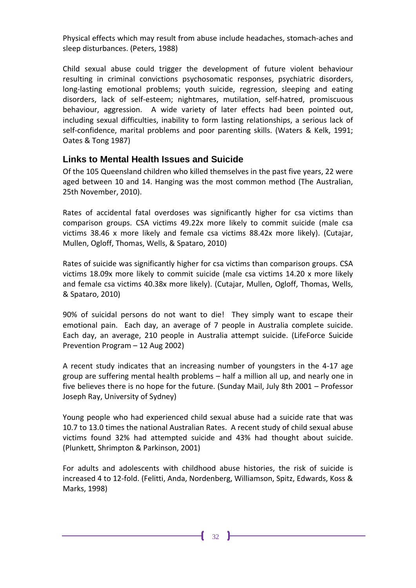Physical effects which may result from abuse include headaches, stomach-aches and sleep disturbances. (Peters, 1988)

Child sexual abuse could trigger the development of future violent behaviour resulting in criminal convictions psychosomatic responses, psychiatric disorders, long-lasting emotional problems; youth suicide, regression, sleeping and eating disorders, lack of self-esteem; nightmares, mutilation, self-hatred, promiscuous behaviour, aggression. A wide variety of later effects had been pointed out, including sexual difficulties, inability to form lasting relationships, a serious lack of self-confidence, marital problems and poor parenting skills. (Waters & Kelk, 1991; Oates & Tong 1987)

#### <span id="page-35-0"></span>**Links to Mental Health Issues and Suicide**

Of the 105 Queensland children who killed themselves in the past five years, 22 were aged between 10 and 14. Hanging was the most common method (The Australian, 25th November, 2010).

Rates of accidental fatal overdoses was significantly higher for csa victims than comparison groups. CSA victims 49.22x more likely to commit suicide (male csa victims 38.46 x more likely and female csa victims 88.42x more likely). (Cutajar, Mullen, Ogloff, Thomas, Wells, & Spataro, 2010)

Rates of suicide was significantly higher for csa victims than comparison groups. CSA victims 18.09x more likely to commit suicide (male csa victims 14.20 x more likely and female csa victims 40.38x more likely). (Cutajar, Mullen, Ogloff, Thomas, Wells, & Spataro, 2010)

90% of suicidal persons do not want to die! They simply want to escape their emotional pain. Each day, an average of 7 people in Australia complete suicide. Each day, an average, 210 people in Australia attempt suicide. (LifeForce Suicide Prevention Program – 12 Aug 2002)

A recent study indicates that an increasing number of youngsters in the 4-17 age group are suffering mental health problems – half a million all up, and nearly one in five believes there is no hope for the future. (Sunday Mail, July 8th 2001 – Professor Joseph Ray, University of Sydney)

Young people who had experienced child sexual abuse had a suicide rate that was 10.7 to 13.0 times the national Australian Rates. A recent study of child sexual abuse victims found 32% had attempted suicide and 43% had thought about suicide. (Plunkett, Shrimpton & Parkinson, 2001)

For adults and adolescents with childhood abuse histories, the risk of suicide is increased 4 to 12-fold. (Felitti, Anda, Nordenberg, Williamson, Spitz, Edwards, Koss & Marks, 1998)

Ł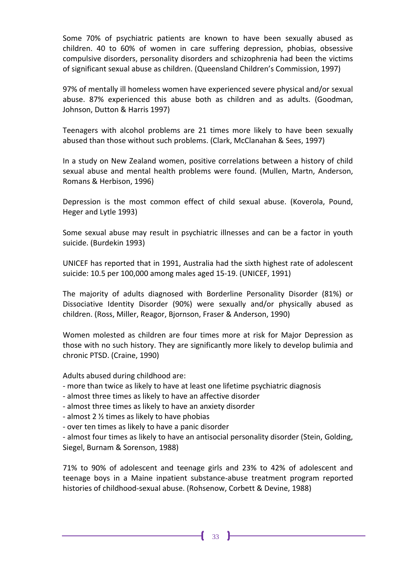Some 70% of psychiatric patients are known to have been sexually abused as children. 40 to 60% of women in care suffering depression, phobias, obsessive compulsive disorders, personality disorders and schizophrenia had been the victims of significant sexual abuse as children. (Queensland Children's Commission, 1997)

97% of mentally ill homeless women have experienced severe physical and/or sexual abuse. 87% experienced this abuse both as children and as adults. (Goodman, Johnson, Dutton & Harris 1997)

Teenagers with alcohol problems are 21 times more likely to have been sexually abused than those without such problems. (Clark, McClanahan & Sees, 1997)

In a study on New Zealand women, positive correlations between a history of child sexual abuse and mental health problems were found. (Mullen, Martn, Anderson, Romans & Herbison, 1996)

Depression is the most common effect of child sexual abuse. (Koverola, Pound, Heger and Lytle 1993)

Some sexual abuse may result in psychiatric illnesses and can be a factor in youth suicide. (Burdekin 1993)

UNICEF has reported that in 1991, Australia had the sixth highest rate of adolescent suicide: 10.5 per 100,000 among males aged 15-19. (UNICEF, 1991)

The majority of adults diagnosed with Borderline Personality Disorder (81%) or Dissociative Identity Disorder (90%) were sexually and/or physically abused as children. (Ross, Miller, Reagor, Bjornson, Fraser & Anderson, 1990)

Women molested as children are four times more at risk for Major Depression as those with no such history. They are significantly more likely to develop bulimia and chronic PTSD. (Craine, 1990)

Adults abused during childhood are:

- more than twice as likely to have at least one lifetime psychiatric diagnosis
- almost three times as likely to have an affective disorder
- almost three times as likely to have an anxiety disorder
- almost 2 ½ times as likely to have phobias
- over ten times as likely to have a panic disorder

- almost four times as likely to have an antisocial personality disorder (Stein, Golding, Siegel, Burnam & Sorenson, 1988)

71% to 90% of adolescent and teenage girls and 23% to 42% of adolescent and teenage boys in a Maine inpatient substance-abuse treatment program reported histories of childhood-sexual abuse. (Rohsenow, Corbett & Devine, 1988)

 $\mathbf{f}$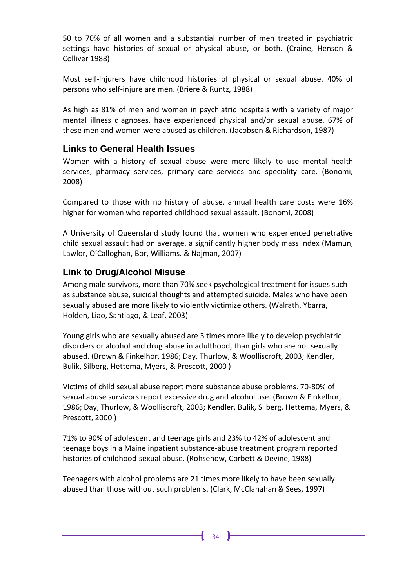50 to 70% of all women and a substantial number of men treated in psychiatric settings have histories of sexual or physical abuse, or both. (Craine, Henson & Colliver 1988)

Most self-injurers have childhood histories of physical or sexual abuse. 40% of persons who self-injure are men. (Briere & Runtz, 1988)

As high as 81% of men and women in psychiatric hospitals with a variety of major mental illness diagnoses, have experienced physical and/or sexual abuse. 67% of these men and women were abused as children. (Jacobson & Richardson, 1987)

#### <span id="page-37-0"></span>**Links to General Health Issues**

Women with a history of sexual abuse were more likely to use mental health services, pharmacy services, primary care services and speciality care. (Bonomi, 2008)

Compared to those with no history of abuse, annual health care costs were 16% higher for women who reported childhood sexual assault. (Bonomi, 2008)

A University of Queensland study found that women who experienced penetrative child sexual assault had on average. a significantly higher body mass index (Mamun, Lawlor, O'Calloghan, Bor, Williams. & Najman, 2007)

#### <span id="page-37-1"></span>**Link to Drug/Alcohol Misuse**

Among male survivors, more than 70% seek psychological treatment for issues such as substance abuse, suicidal thoughts and attempted suicide. Males who have been sexually abused are more likely to violently victimize others. (Walrath, Ybarra, Holden, Liao, Santiago, & Leaf, 2003)

Young girls who are sexually abused are 3 times more likely to develop psychiatric disorders or alcohol and drug abuse in adulthood, than girls who are not sexually abused. (Brown & Finkelhor, 1986; Day, Thurlow, & Woolliscroft, 2003; Kendler, Bulik, Silberg, Hettema, Myers, & Prescott, 2000 )

Victims of child sexual abuse report more substance abuse problems. 70-80% of sexual abuse survivors report excessive drug and alcohol use. (Brown & Finkelhor, 1986; Day, Thurlow, & Woolliscroft, 2003; Kendler, Bulik, Silberg, Hettema, Myers, & Prescott, 2000 )

71% to 90% of adolescent and teenage girls and 23% to 42% of adolescent and teenage boys in a Maine inpatient substance-abuse treatment program reported histories of childhood-sexual abuse. (Rohsenow, Corbett & Devine, 1988)

Teenagers with alcohol problems are 21 times more likely to have been sexually abused than those without such problems. (Clark, McClanahan & Sees, 1997)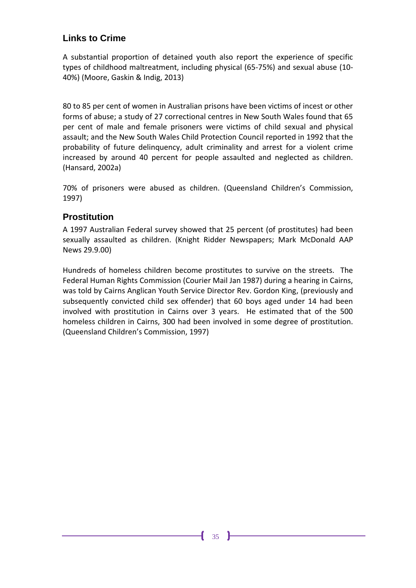#### <span id="page-38-0"></span>**Links to Crime**

A substantial proportion of detained youth also report the experience of specific types of childhood maltreatment, including physical (65-75%) and sexual abuse (10- 40%) (Moore, Gaskin & Indig, 2013)

80 to 85 per cent of women in Australian prisons have been victims of incest or other forms of abuse; a study of 27 correctional centres in New South Wales found that 65 per cent of male and female prisoners were victims of child sexual and physical assault; and the New South Wales Child Protection Council reported in 1992 that the probability of future delinquency, adult criminality and arrest for a violent crime increased by around 40 percent for people assaulted and neglected as children. (Hansard, 2002a)

70% of prisoners were abused as children. (Queensland Children's Commission, 1997)

#### <span id="page-38-1"></span>**Prostitution**

A 1997 Australian Federal survey showed that 25 percent (of prostitutes) had been sexually assaulted as children. (Knight Ridder Newspapers; Mark McDonald AAP News 29.9.00)

Hundreds of homeless children become prostitutes to survive on the streets. The Federal Human Rights Commission (Courier Mail Jan 1987) during a hearing in Cairns, was told by Cairns Anglican Youth Service Director Rev. Gordon King, (previously and subsequently convicted child sex offender) that 60 boys aged under 14 had been involved with prostitution in Cairns over 3 years. He estimated that of the 500 homeless children in Cairns, 300 had been involved in some degree of prostitution. (Queensland Children's Commission, 1997)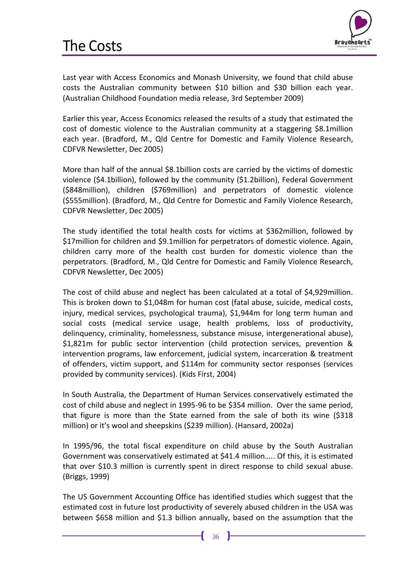

<span id="page-39-0"></span>Last year with Access Economics and Monash University, we found that child abuse costs the Australian community between \$10 billion and \$30 billion each year. (Australian Childhood Foundation media release, 3rd September 2009)

Earlier this year, Access Economics released the results of a study that estimated the cost of domestic violence to the Australian community at a staggering \$8.1million each year. (Bradford, M., Qld Centre for Domestic and Family Violence Research, CDFVR Newsletter, Dec 2005)

More than half of the annual \$8.1billion costs are carried by the victims of domestic violence (\$4.1billion), followed by the community (\$1.2billion), Federal Government (\$848million), children (\$769million) and perpetrators of domestic violence (\$555million). (Bradford, M., Qld Centre for Domestic and Family Violence Research, CDFVR Newsletter, Dec 2005)

The study identified the total health costs for victims at \$362million, followed by \$17million for children and \$9.1million for perpetrators of domestic violence. Again, children carry more of the health cost burden for domestic violence than the perpetrators. (Bradford, M., Qld Centre for Domestic and Family Violence Research, CDFVR Newsletter, Dec 2005)

The cost of child abuse and neglect has been calculated at a total of \$4,929million. This is broken down to \$1,048m for human cost (fatal abuse, suicide, medical costs, injury, medical services, psychological trauma), \$1,944m for long term human and social costs (medical service usage, health problems, loss of productivity, delinquency, criminality, homelessness, substance misuse, intergenerational abuse), \$1,821m for public sector intervention (child protection services, prevention & intervention programs, law enforcement, judicial system, incarceration & treatment of offenders, victim support, and \$114m for community sector responses (services provided by community services). (Kids First, 2004)

In South Australia, the Department of Human Services conservatively estimated the cost of child abuse and neglect in 1995-96 to be \$354 million. Over the same period, that figure is more than the State earned from the sale of both its wine (\$318 million) or it's wool and sheepskins (\$239 million). (Hansard, 2002a)

In 1995/96, the total fiscal expenditure on child abuse by the South Australian Government was conservatively estimated at \$41.4 million….. Of this, it is estimated that over \$10.3 million is currently spent in direct response to child sexual abuse. (Briggs, 1999)

The US Government Accounting Office has identified studies which suggest that the estimated cost in future lost productivity of severely abused children in the USA was between \$658 million and \$1.3 billion annually, based on the assumption that the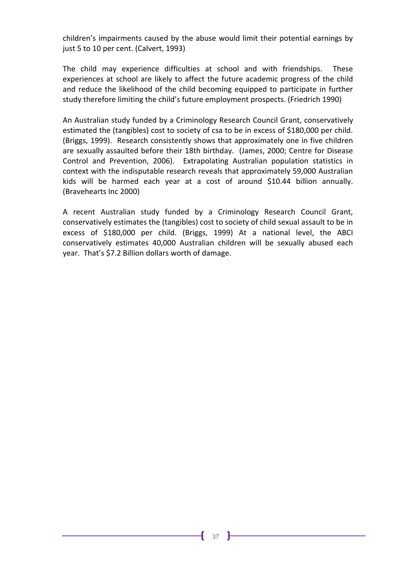children's impairments caused by the abuse would limit their potential earnings by just 5 to 10 per cent. (Calvert, 1993)

The child may experience difficulties at school and with friendships. These experiences at school are likely to affect the future academic progress of the child and reduce the likelihood of the child becoming equipped to participate in further study therefore limiting the child's future employment prospects. (Friedrich 1990)

An Australian study funded by a Criminology Research Council Grant, conservatively estimated the (tangibles) cost to society of csa to be in excess of \$180,000 per child. (Briggs, 1999). Research consistently shows that approximately one in five children are sexually assaulted before their 18th birthday. (James, 2000; Centre for Disease Control and Prevention, 2006). Extrapolating Australian population statistics in context with the indisputable research reveals that approximately 59,000 Australian kids will be harmed each year at a cost of around \$10.44 billion annually. (Bravehearts Inc 2000)

A recent Australian study funded by a Criminology Research Council Grant, conservatively estimates the (tangibles) cost to society of child sexual assault to be in excess of \$180,000 per child. (Briggs, 1999) At a national level, the ABCI conservatively estimates 40,000 Australian children will be sexually abused each year. That's \$7.2 Billion dollars worth of damage.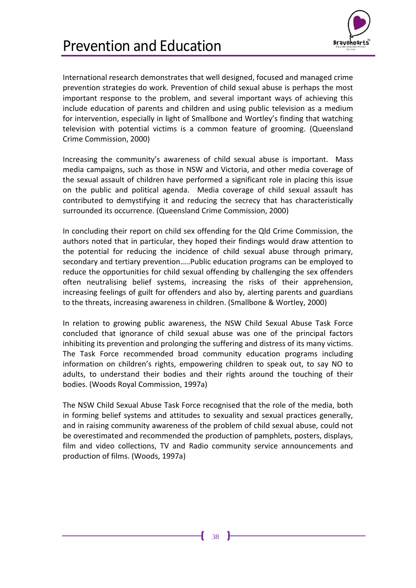

<span id="page-41-0"></span>International research demonstrates that well designed, focused and managed crime prevention strategies do work. Prevention of child sexual abuse is perhaps the most important response to the problem, and several important ways of achieving this include education of parents and children and using public television as a medium for intervention, especially in light of Smallbone and Wortley's finding that watching television with potential victims is a common feature of grooming. (Queensland Crime Commission, 2000)

Increasing the community's awareness of child sexual abuse is important. Mass media campaigns, such as those in NSW and Victoria, and other media coverage of the sexual assault of children have performed a significant role in placing this issue on the public and political agenda. Media coverage of child sexual assault has contributed to demystifying it and reducing the secrecy that has characteristically surrounded its occurrence. (Queensland Crime Commission, 2000)

In concluding their report on child sex offending for the Qld Crime Commission, the authors noted that in particular, they hoped their findings would draw attention to the potential for reducing the incidence of child sexual abuse through primary, secondary and tertiary prevention…..Public education programs can be employed to reduce the opportunities for child sexual offending by challenging the sex offenders often neutralising belief systems, increasing the risks of their apprehension, increasing feelings of guilt for offenders and also by, alerting parents and guardians to the threats, increasing awareness in children. (Smallbone & Wortley, 2000)

In relation to growing public awareness, the NSW Child Sexual Abuse Task Force concluded that ignorance of child sexual abuse was one of the principal factors inhibiting its prevention and prolonging the suffering and distress of its many victims. The Task Force recommended broad community education programs including information on children's rights, empowering children to speak out, to say NO to adults, to understand their bodies and their rights around the touching of their bodies. (Woods Royal Commission, 1997a)

The NSW Child Sexual Abuse Task Force recognised that the role of the media, both in forming belief systems and attitudes to sexuality and sexual practices generally, and in raising community awareness of the problem of child sexual abuse, could not be overestimated and recommended the production of pamphlets, posters, displays, film and video collections, TV and Radio community service announcements and production of films. (Woods, 1997a)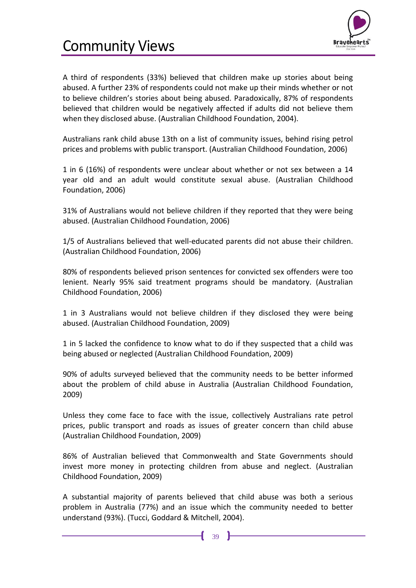

### <span id="page-42-0"></span>Community Views

A third of respondents (33%) believed that children make up stories about being abused. A further 23% of respondents could not make up their minds whether or not to believe children's stories about being abused. Paradoxically, 87% of respondents believed that children would be negatively affected if adults did not believe them when they disclosed abuse. (Australian Childhood Foundation, 2004).

Australians rank child abuse 13th on a list of community issues, behind rising petrol prices and problems with public transport. (Australian Childhood Foundation, 2006)

1 in 6 (16%) of respondents were unclear about whether or not sex between a 14 year old and an adult would constitute sexual abuse. (Australian Childhood Foundation, 2006)

31% of Australians would not believe children if they reported that they were being abused. (Australian Childhood Foundation, 2006)

1/5 of Australians believed that well-educated parents did not abuse their children. (Australian Childhood Foundation, 2006)

80% of respondents believed prison sentences for convicted sex offenders were too lenient. Nearly 95% said treatment programs should be mandatory. (Australian Childhood Foundation, 2006)

1 in 3 Australians would not believe children if they disclosed they were being abused. (Australian Childhood Foundation, 2009)

1 in 5 lacked the confidence to know what to do if they suspected that a child was being abused or neglected (Australian Childhood Foundation, 2009)

90% of adults surveyed believed that the community needs to be better informed about the problem of child abuse in Australia (Australian Childhood Foundation, 2009)

Unless they come face to face with the issue, collectively Australians rate petrol prices, public transport and roads as issues of greater concern than child abuse (Australian Childhood Foundation, 2009)

86% of Australian believed that Commonwealth and State Governments should invest more money in protecting children from abuse and neglect. (Australian Childhood Foundation, 2009)

A substantial majority of parents believed that child abuse was both a serious problem in Australia (77%) and an issue which the community needed to better understand (93%). (Tucci, Goddard & Mitchell, 2004).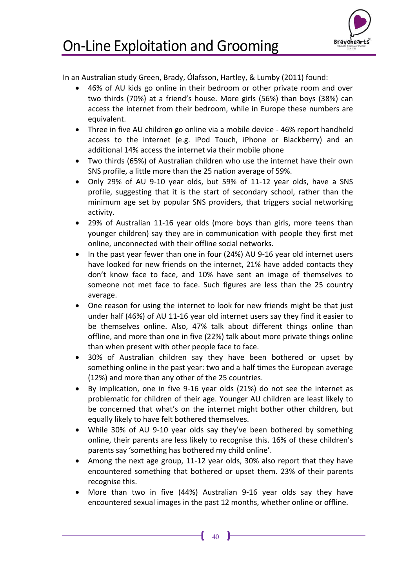

### <span id="page-43-0"></span>On-Line Exploitation and Grooming

In an Australian study Green, Brady, Ólafsson, Hartley, & Lumby (2011) found:

- 46% of AU kids go online in their bedroom or other private room and over two thirds (70%) at a friend's house. More girls (56%) than boys (38%) can access the internet from their bedroom, while in Europe these numbers are equivalent.
- Three in five AU children go online via a mobile device 46% report handheld access to the internet (e.g. iPod Touch, iPhone or Blackberry) and an additional 14% access the internet via their mobile phone
- Two thirds (65%) of Australian children who use the internet have their own SNS profile, a little more than the 25 nation average of 59%.
- Only 29% of AU 9-10 year olds, but 59% of 11-12 year olds, have a SNS profile, suggesting that it is the start of secondary school, rather than the minimum age set by popular SNS providers, that triggers social networking activity.
- 29% of Australian 11-16 year olds (more boys than girls, more teens than younger children) say they are in communication with people they first met online, unconnected with their offline social networks.
- In the past year fewer than one in four (24%) AU 9-16 year old internet users have looked for new friends on the internet, 21% have added contacts they don't know face to face, and 10% have sent an image of themselves to someone not met face to face. Such figures are less than the 25 country average.
- One reason for using the internet to look for new friends might be that just under half (46%) of AU 11-16 year old internet users say they find it easier to be themselves online. Also, 47% talk about different things online than offline, and more than one in five (22%) talk about more private things online than when present with other people face to face.
- 30% of Australian children say they have been bothered or upset by something online in the past year: two and a half times the European average (12%) and more than any other of the 25 countries.
- By implication, one in five 9-16 year olds (21%) do not see the internet as problematic for children of their age. Younger AU children are least likely to be concerned that what's on the internet might bother other children, but equally likely to have felt bothered themselves.
- While 30% of AU 9-10 year olds say they've been bothered by something online, their parents are less likely to recognise this. 16% of these children's parents say 'something has bothered my child online'.
- Among the next age group, 11-12 year olds, 30% also report that they have encountered something that bothered or upset them. 23% of their parents recognise this.
- More than two in five (44%) Australian 9-16 year olds say they have encountered sexual images in the past 12 months, whether online or offline.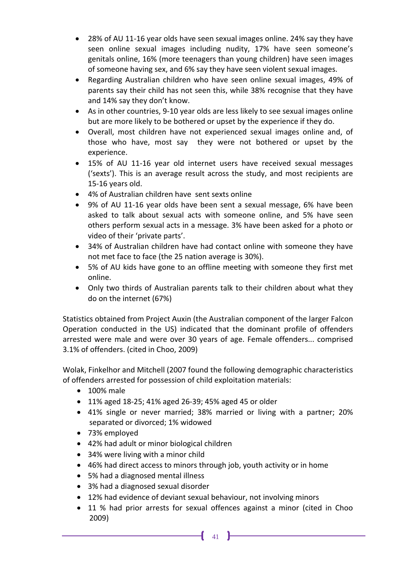- 28% of AU 11-16 year olds have seen sexual images online. 24% say they have seen online sexual images including nudity, 17% have seen someone's genitals online, 16% (more teenagers than young children) have seen images of someone having sex, and 6% say they have seen violent sexual images.
- Regarding Australian children who have seen online sexual images, 49% of parents say their child has not seen this, while 38% recognise that they have and 14% say they don't know.
- As in other countries, 9-10 year olds are less likely to see sexual images online but are more likely to be bothered or upset by the experience if they do.
- Overall, most children have not experienced sexual images online and, of those who have, most say they were not bothered or upset by the experience.
- 15% of AU 11-16 year old internet users have received sexual messages ('sexts'). This is an average result across the study, and most recipients are 15-16 years old.
- 4% of Australian children have sent sexts online
- 9% of AU 11-16 year olds have been sent a sexual message, 6% have been asked to talk about sexual acts with someone online, and 5% have seen others perform sexual acts in a message. 3% have been asked for a photo or video of their 'private parts'.
- 34% of Australian children have had contact online with someone they have not met face to face (the 25 nation average is 30%).
- 5% of AU kids have gone to an offline meeting with someone they first met online.
- Only two thirds of Australian parents talk to their children about what they do on the internet (67%)

Statistics obtained from Project Auxin (the Australian component of the larger Falcon Operation conducted in the US) indicated that the dominant profile of offenders arrested were male and were over 30 years of age. Female offenders... comprised 3.1% of offenders. (cited in Choo, 2009)

Wolak, Finkelhor and Mitchell (2007 found the following demographic characteristics of offenders arrested for possession of child exploitation materials:

- 100% male
- 11% aged 18-25; 41% aged 26-39; 45% aged 45 or older
- 41% single or never married; 38% married or living with a partner; 20% separated or divorced; 1% widowed
- 73% employed
- 42% had adult or minor biological children
- 34% were living with a minor child
- 46% had direct access to minors through job, youth activity or in home
- 5% had a diagnosed mental illness
- 3% had a diagnosed sexual disorder
- 12% had evidence of deviant sexual behaviour, not involving minors
- 11 % had prior arrests for sexual offences against a minor (cited in Choo 2009)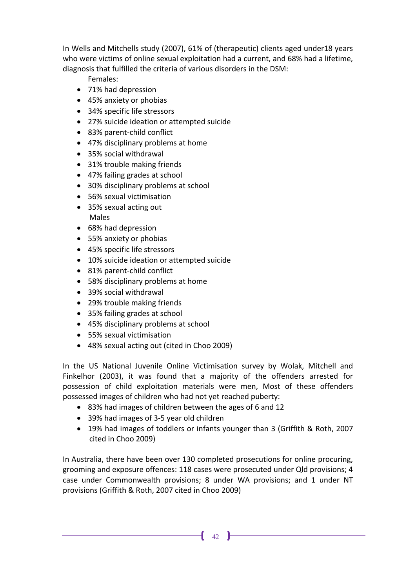In Wells and Mitchells study (2007), 61% of (therapeutic) clients aged under18 years who were victims of online sexual exploitation had a current, and 68% had a lifetime, diagnosis that fulfilled the criteria of various disorders in the DSM:

Females:

- 71% had depression
- 45% anxiety or phobias
- 34% specific life stressors
- 27% suicide ideation or attempted suicide
- 83% parent-child conflict
- 47% disciplinary problems at home
- 35% social withdrawal
- 31% trouble making friends
- 47% failing grades at school
- 30% disciplinary problems at school
- 56% sexual victimisation
- 35% sexual acting out Males
- 68% had depression
- 55% anxiety or phobias
- 45% specific life stressors
- 10% suicide ideation or attempted suicide
- 81% parent-child conflict
- 58% disciplinary problems at home
- 39% social withdrawal
- 29% trouble making friends
- 35% failing grades at school
- 45% disciplinary problems at school
- 55% sexual victimisation
- 48% sexual acting out (cited in Choo 2009)

In the US National Juvenile Online Victimisation survey by Wolak, Mitchell and Finkelhor (2003), it was found that a majority of the offenders arrested for possession of child exploitation materials were men, Most of these offenders possessed images of children who had not yet reached puberty:

- 83% had images of children between the ages of 6 and 12
- 39% had images of 3-5 year old children
- 19% had images of toddlers or infants younger than 3 (Griffith & Roth, 2007 cited in Choo 2009)

In Australia, there have been over 130 completed prosecutions for online procuring, grooming and exposure offences: 118 cases were prosecuted under Qld provisions; 4 case under Commonwealth provisions; 8 under WA provisions; and 1 under NT provisions (Griffith & Roth, 2007 cited in Choo 2009)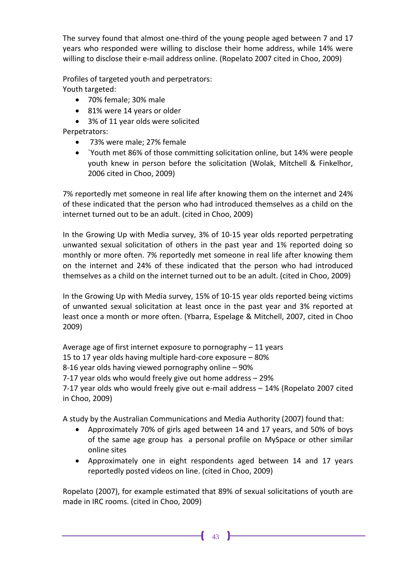The survey found that almost one-third of the young people aged between 7 and 17 years who responded were willing to disclose their home address, while 14% were willing to disclose their e-mail address online. (Ropelato 2007 cited in Choo, 2009)

Profiles of targeted youth and perpetrators: Youth targeted:

- 70% female; 30% male
- 81% were 14 years or older
- 3% of 11 year olds were solicited

Perpetrators:

- 73% were male; 27% female
- `Youth met 86% of those committing solicitation online, but 14% were people youth knew in person before the solicitation (Wolak, Mitchell & Finkelhor, 2006 cited in Choo, 2009)

7% reportedly met someone in real life after knowing them on the internet and 24% of these indicated that the person who had introduced themselves as a child on the internet turned out to be an adult. (cited in Choo, 2009)

In the Growing Up with Media survey, 3% of 10-15 year olds reported perpetrating unwanted sexual solicitation of others in the past year and 1% reported doing so monthly or more often. 7% reportedly met someone in real life after knowing them on the internet and 24% of these indicated that the person who had introduced themselves as a child on the internet turned out to be an adult. (cited in Choo, 2009)

In the Growing Up with Media survey, 15% of 10-15 year olds reported being victims of unwanted sexual solicitation at least once in the past year and 3% reported at least once a month or more often. (Ybarra, Espelage & Mitchell, 2007, cited in Choo 2009)

Average age of first internet exposure to pornography – 11 years

15 to 17 year olds having multiple hard-core exposure – 80%

8-16 year olds having viewed pornography online – 90%

7-17 year olds who would freely give out home address – 29%

7-17 year olds who would freely give out e-mail address – 14% (Ropelato 2007 cited in Choo, 2009)

A study by the Australian Communications and Media Authority (2007) found that:

- Approximately 70% of girls aged between 14 and 17 years, and 50% of boys of the same age group has a personal profile on MySpace or other similar online sites
- Approximately one in eight respondents aged between 14 and 17 years reportedly posted videos on line. (cited in Choo, 2009)

Ropelato (2007), for example estimated that 89% of sexual solicitations of youth are made in IRC rooms. (cited in Choo, 2009)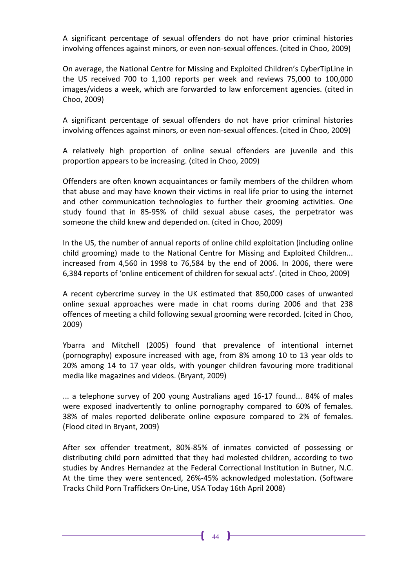A significant percentage of sexual offenders do not have prior criminal histories involving offences against minors, or even non-sexual offences. (cited in Choo, 2009)

On average, the National Centre for Missing and Exploited Children's CyberTipLine in the US received 700 to 1,100 reports per week and reviews 75,000 to 100,000 images/videos a week, which are forwarded to law enforcement agencies. (cited in Choo, 2009)

A significant percentage of sexual offenders do not have prior criminal histories involving offences against minors, or even non-sexual offences. (cited in Choo, 2009)

A relatively high proportion of online sexual offenders are juvenile and this proportion appears to be increasing. (cited in Choo, 2009)

Offenders are often known acquaintances or family members of the children whom that abuse and may have known their victims in real life prior to using the internet and other communication technologies to further their grooming activities. One study found that in 85-95% of child sexual abuse cases, the perpetrator was someone the child knew and depended on. (cited in Choo, 2009)

In the US, the number of annual reports of online child exploitation (including online child grooming) made to the National Centre for Missing and Exploited Children... increased from 4,560 in 1998 to 76,584 by the end of 2006. In 2006, there were 6,384 reports of 'online enticement of children for sexual acts'. (cited in Choo, 2009)

A recent cybercrime survey in the UK estimated that 850,000 cases of unwanted online sexual approaches were made in chat rooms during 2006 and that 238 offences of meeting a child following sexual grooming were recorded. (cited in Choo, 2009)

Ybarra and Mitchell (2005) found that prevalence of intentional internet (pornography) exposure increased with age, from 8% among 10 to 13 year olds to 20% among 14 to 17 year olds, with younger children favouring more traditional media like magazines and videos. (Bryant, 2009)

... a telephone survey of 200 young Australians aged 16-17 found... 84% of males were exposed inadvertently to online pornography compared to 60% of females. 38% of males reported deliberate online exposure compared to 2% of females. (Flood cited in Bryant, 2009)

After sex offender treatment, 80%-85% of inmates convicted of possessing or distributing child porn admitted that they had molested children, according to two studies by Andres Hernandez at the Federal Correctional Institution in Butner, N.C. At the time they were sentenced, 26%-45% acknowledged molestation. (Software Tracks Child Porn Traffickers On-Line, USA Today 16th April 2008)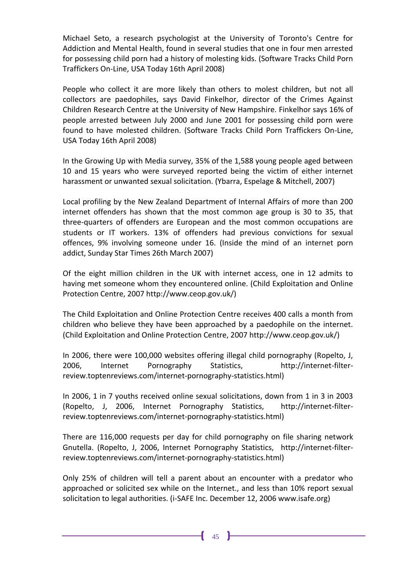Michael Seto, a research psychologist at the University of Toronto's Centre for Addiction and Mental Health, found in several studies that one in four men arrested for possessing child porn had a history of molesting kids. (Software Tracks Child Porn Traffickers On-Line, USA Today 16th April 2008)

People who collect it are more likely than others to molest children, but not all collectors are paedophiles, says David Finkelhor, director of the Crimes Against Children Research Centre at the University of New Hampshire. Finkelhor says 16% of people arrested between July 2000 and June 2001 for possessing child porn were found to have molested children. (Software Tracks Child Porn Traffickers On-Line, USA Today 16th April 2008)

In the Growing Up with Media survey, 35% of the 1,588 young people aged between 10 and 15 years who were surveyed reported being the victim of either internet harassment or unwanted sexual solicitation. (Ybarra, Espelage & Mitchell, 2007)

Local profiling by the New Zealand Department of Internal Affairs of more than 200 internet offenders has shown that the most common age group is 30 to 35, that three-quarters of offenders are European and the most common occupations are students or IT workers. 13% of offenders had previous convictions for sexual offences, 9% involving someone under 16. (Inside the mind of an internet porn addict, Sunday Star Times 26th March 2007)

Of the eight million children in the UK with internet access, one in 12 admits to having met someone whom they encountered online. (Child Exploitation and Online Protection Centre, 2007 http://www.ceop.gov.uk/)

The Child Exploitation and Online Protection Centre receives 400 calls a month from children who believe they have been approached by a paedophile on the internet. (Child Exploitation and Online Protection Centre, 2007 http://www.ceop.gov.uk/)

In 2006, there were 100,000 websites offering illegal child pornography (Ropelto, J, 2006, Internet Pornography Statistics, http://internet-filterreview.toptenreviews.com/internet-pornography-statistics.html)

In 2006, 1 in 7 youths received online sexual solicitations, down from 1 in 3 in 2003 (Ropelto, J, 2006, Internet Pornography Statistics, http://internet-filterreview.toptenreviews.com/internet-pornography-statistics.html)

There are 116,000 requests per day for child pornography on file sharing network Gnutella. (Ropelto, J, 2006, Internet Pornography Statistics, http://internet-filterreview.toptenreviews.com/internet-pornography-statistics.html)

Only 25% of children will tell a parent about an encounter with a predator who approached or solicited sex while on the Internet., and less than 10% report sexual solicitation to legal authorities. (i-SAFE Inc. December 12, 2006 www.isafe.org)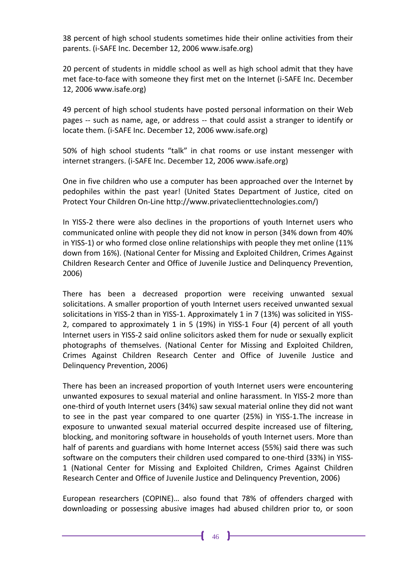38 percent of high school students sometimes hide their online activities from their parents. (i-SAFE Inc. December 12, 2006 www.isafe.org)

20 percent of students in middle school as well as high school admit that they have met face-to-face with someone they first met on the Internet (i-SAFE Inc. December 12, 2006 www.isafe.org)

49 percent of high school students have posted personal information on their Web pages -- such as name, age, or address -- that could assist a stranger to identify or locate them. (i-SAFE Inc. December 12, 2006 www.isafe.org)

50% of high school students "talk" in chat rooms or use instant messenger with internet strangers. (i-SAFE Inc. December 12, 2006 www.isafe.org)

One in five children who use a computer has been approached over the Internet by pedophiles within the past year! (United States Department of Justice, cited on Protect Your Children On-Line http://www.privateclienttechnologies.com/)

In YISS-2 there were also declines in the proportions of youth Internet users who communicated online with people they did not know in person (34% down from 40% in YISS-1) or who formed close online relationships with people they met online (11% down from 16%). (National Center for Missing and Exploited Children, Crimes Against Children Research Center and Office of Juvenile Justice and Delinquency Prevention, 2006)

There has been a decreased proportion were receiving unwanted sexual solicitations. A smaller proportion of youth Internet users received unwanted sexual solicitations in YISS-2 than in YISS-1. Approximately 1 in 7 (13%) was solicited in YISS-2, compared to approximately 1 in 5 (19%) in YISS-1 Four (4) percent of all youth Internet users in YISS-2 said online solicitors asked them for nude or sexually explicit photographs of themselves. (National Center for Missing and Exploited Children, Crimes Against Children Research Center and Office of Juvenile Justice and Delinquency Prevention, 2006)

There has been an increased proportion of youth Internet users were encountering unwanted exposures to sexual material and online harassment. In YISS-2 more than one-third of youth Internet users (34%) saw sexual material online they did not want to see in the past year compared to one quarter (25%) in YISS-1.The increase in exposure to unwanted sexual material occurred despite increased use of filtering, blocking, and monitoring software in households of youth Internet users. More than half of parents and guardians with home Internet access (55%) said there was such software on the computers their children used compared to one-third (33%) in YISS-1 (National Center for Missing and Exploited Children, Crimes Against Children Research Center and Office of Juvenile Justice and Delinquency Prevention, 2006)

European researchers (COPINE)… also found that 78% of offenders charged with downloading or possessing abusive images had abused children prior to, or soon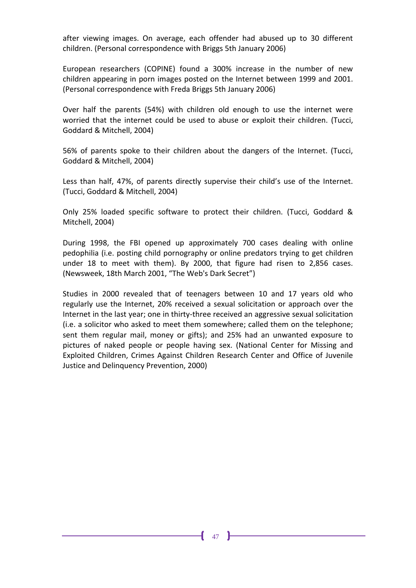after viewing images. On average, each offender had abused up to 30 different children. (Personal correspondence with Briggs 5th January 2006)

European researchers (COPINE) found a 300% increase in the number of new children appearing in porn images posted on the Internet between 1999 and 2001. (Personal correspondence with Freda Briggs 5th January 2006)

Over half the parents (54%) with children old enough to use the internet were worried that the internet could be used to abuse or exploit their children. (Tucci, Goddard & Mitchell, 2004)

56% of parents spoke to their children about the dangers of the Internet. (Tucci, Goddard & Mitchell, 2004)

Less than half, 47%, of parents directly supervise their child's use of the Internet. (Tucci, Goddard & Mitchell, 2004)

Only 25% loaded specific software to protect their children. (Tucci, Goddard & Mitchell, 2004)

During 1998, the FBI opened up approximately 700 cases dealing with online pedophilia (i.e. posting child pornography or online predators trying to get children under 18 to meet with them). By 2000, that figure had risen to 2,856 cases. (Newsweek, 18th March 2001, "The Web's Dark Secret")

Studies in 2000 revealed that of teenagers between 10 and 17 years old who regularly use the Internet, 20% received a sexual solicitation or approach over the Internet in the last year; one in thirty-three received an aggressive sexual solicitation (i.e. a solicitor who asked to meet them somewhere; called them on the telephone; sent them regular mail, money or gifts); and 25% had an unwanted exposure to pictures of naked people or people having sex. (National Center for Missing and Exploited Children, Crimes Against Children Research Center and Office of Juvenile Justice and Delinquency Prevention, 2000)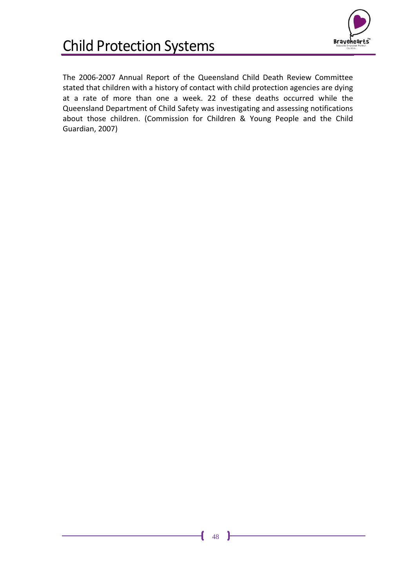

## <span id="page-51-0"></span>Child Protection Systems

The 2006-2007 Annual Report of the Queensland Child Death Review Committee stated that children with a history of contact with child protection agencies are dying at a rate of more than one a week. 22 of these deaths occurred while the Queensland Department of Child Safety was investigating and assessing notifications about those children. (Commission for Children & Young People and the Child Guardian, 2007)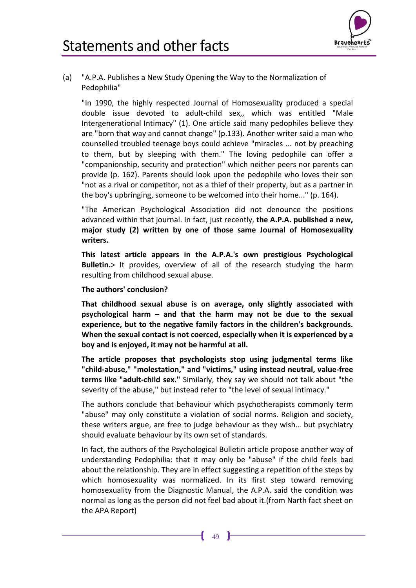

<span id="page-52-1"></span><span id="page-52-0"></span>(a) "A.P.A. Publishes a New Study Opening the Way to the Normalization of Pedophilia"

"In 1990, the highly respected Journal of Homosexuality produced a special double issue devoted to adult-child sex,, which was entitled "Male Intergenerational Intimacy" (1). One article said many pedophiles believe they are "born that way and cannot change" (p.133). Another writer said a man who counselled troubled teenage boys could achieve "miracles ... not by preaching to them, but by sleeping with them." The loving pedophile can offer a "companionship, security and protection" which neither peers nor parents can provide (p. 162). Parents should look upon the pedophile who loves their son "not as a rival or competitor, not as a thief of their property, but as a partner in the boy's upbringing, someone to be welcomed into their home..." (p. 164).

"The American Psychological Association did not denounce the positions advanced within that journal. In fact, just recently, **the A.P.A. published a new, major study (2) written by one of those same Journal of Homosexuality writers.** 

**This latest article appears in the A.P.A.'s own prestigious Psychological Bulletin.**> It provides, overview of all of the research studying the harm resulting from childhood sexual abuse.

#### **The authors' conclusion?**

**That childhood sexual abuse is on average, only slightly associated with psychological harm – and that the harm may not be due to the sexual experience, but to the negative family factors in the children's backgrounds. When the sexual contact is not coerced, especially when it is experienced by a boy and is enjoyed, it may not be harmful at all.** 

**The article proposes that psychologists stop using judgmental terms like "child-abuse," "molestation," and "victims," using instead neutral, value-free terms like "adult-child sex."** Similarly, they say we should not talk about "the severity of the abuse," but instead refer to "the level of sexual intimacy."

The authors conclude that behaviour which psychotherapists commonly term "abuse" may only constitute a violation of social norms. Religion and society, these writers argue, are free to judge behaviour as they wish… but psychiatry should evaluate behaviour by its own set of standards.

In fact, the authors of the Psychological Bulletin article propose another way of understanding Pedophilia: that it may only be "abuse" if the child feels bad about the relationship. They are in effect suggesting a repetition of the steps by which homosexuality was normalized. In its first step toward removing homosexuality from the Diagnostic Manual, the A.P.A. said the condition was normal as long as the person did not feel bad about it.(from Narth fact sheet on the APA Report)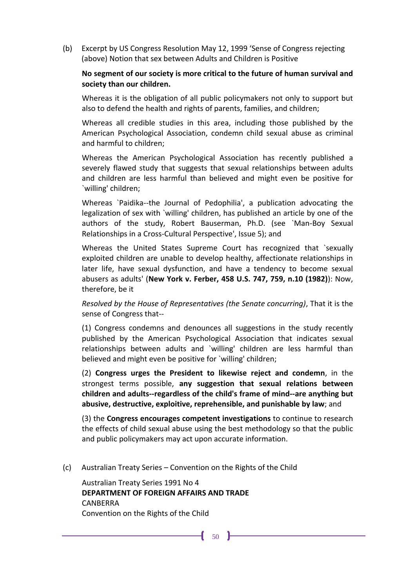<span id="page-53-0"></span>(b) Excerpt by US Congress Resolution May 12, 1999 'Sense of Congress rejecting (above) Notion that sex between Adults and Children is Positive

#### **No segment of our society is more critical to the future of human survival and society than our children.**

Whereas it is the obligation of all public policymakers not only to support but also to defend the health and rights of parents, families, and children;

Whereas all credible studies in this area, including those published by the American Psychological Association, condemn child sexual abuse as criminal and harmful to children;

Whereas the American Psychological Association has recently published a severely flawed study that suggests that sexual relationships between adults and children are less harmful than believed and might even be positive for `willing' children;

Whereas `Paidika--the Journal of Pedophilia', a publication advocating the legalization of sex with `willing' children, has published an article by one of the authors of the study, Robert Bauserman, Ph.D. (see `Man-Boy Sexual Relationships in a Cross-Cultural Perspective', Issue 5); and

Whereas the United States Supreme Court has recognized that `sexually exploited children are unable to develop healthy, affectionate relationships in later life, have sexual dysfunction, and have a tendency to become sexual abusers as adults' (**New York v. Ferber, 458 U.S. 747, 759, n.10 (1982)**): Now, therefore, be it

*Resolved by the House of Representatives (the Senate concurring)*, That it is the sense of Congress that--

(1) Congress condemns and denounces all suggestions in the study recently published by the American Psychological Association that indicates sexual relationships between adults and `willing' children are less harmful than believed and might even be positive for `willing' children;

(2) **Congress urges the President to likewise reject and condemn**, in the strongest terms possible, **any suggestion that sexual relations between children and adults--regardless of the child's frame of mind--are anything but abusive, destructive, exploitive, reprehensible, and punishable by law**; and

(3) the **Congress encourages competent investigations** to continue to research the effects of child sexual abuse using the best methodology so that the public and public policymakers may act upon accurate information.

<span id="page-53-1"></span>(c) Australian Treaty Series – Convention on the Rights of the Child

Australian Treaty Series 1991 No 4 **DEPARTMENT OF FOREIGN AFFAIRS AND TRADE**  CANBERRA Convention on the Rights of the Child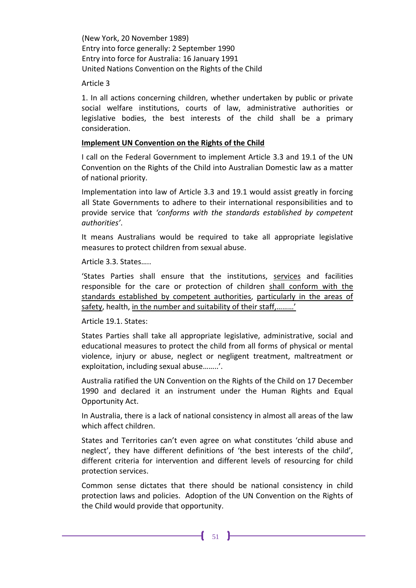(New York, 20 November 1989) Entry into force generally: 2 September 1990 Entry into force for Australia: 16 January 1991 United Nations Convention on the Rights of the Child

Article 3

1. In all actions concerning children, whether undertaken by public or private social welfare institutions, courts of law, administrative authorities or legislative bodies, the best interests of the child shall be a primary consideration.

#### **Implement UN Convention on the Rights of the Child**

I call on the Federal Government to implement Article 3.3 and 19.1 of the UN Convention on the Rights of the Child into Australian Domestic law as a matter of national priority.

Implementation into law of Article 3.3 and 19.1 would assist greatly in forcing all State Governments to adhere to their international responsibilities and to provide service that *'conforms with the standards established by competent authorities'*.

It means Australians would be required to take all appropriate legislative measures to protect children from sexual abuse.

Article 3.3. States…..

'States Parties shall ensure that the institutions, services and facilities responsible for the care or protection of children shall conform with the standards established by competent authorities, particularly in the areas of safety, health, in the number and suitability of their staff,………'

Article 19.1. States:

States Parties shall take all appropriate legislative, administrative, social and educational measures to protect the child from all forms of physical or mental violence, injury or abuse, neglect or negligent treatment, maltreatment or exploitation, including sexual abuse........'.

Australia ratified the UN Convention on the Rights of the Child on 17 December 1990 and declared it an instrument under the Human Rights and Equal Opportunity Act.

In Australia, there is a lack of national consistency in almost all areas of the law which affect children.

States and Territories can't even agree on what constitutes 'child abuse and neglect', they have different definitions of 'the best interests of the child', different criteria for intervention and different levels of resourcing for child protection services.

Common sense dictates that there should be national consistency in child protection laws and policies. Adoption of the UN Convention on the Rights of the Child would provide that opportunity.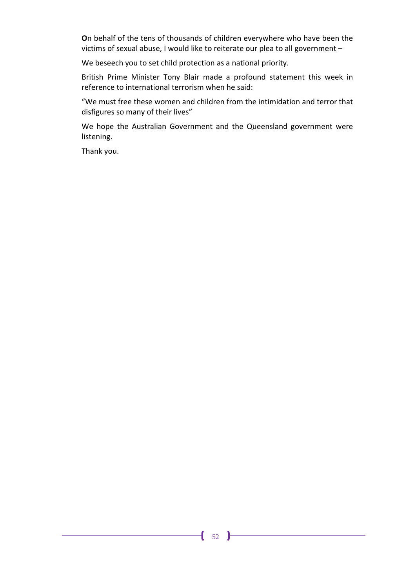**O**n behalf of the tens of thousands of children everywhere who have been the victims of sexual abuse, I would like to reiterate our plea to all government –

We beseech you to set child protection as a national priority.

British Prime Minister Tony Blair made a profound statement this week in reference to international terrorism when he said:

"We must free these women and children from the intimidation and terror that disfigures so many of their lives"

We hope the Australian Government and the Queensland government were listening.

Thank you.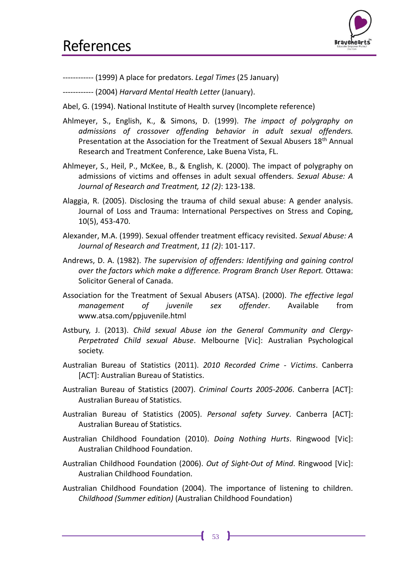

<span id="page-56-0"></span>------------ (1999) A place for predators. *Legal Times* (25 January)

------------ (2004) *Harvard Mental Health Letter* (January).

- Abel, G. (1994). National Institute of Health survey (Incomplete reference)
- Ahlmeyer, S., English, K., & Simons, D. (1999). *The impact of polygraphy on admissions of crossover offending behavior in adult sexual offenders.* Presentation at the Association for the Treatment of Sexual Abusers 18<sup>th</sup> Annual Research and Treatment Conference, Lake Buena Vista, FL.
- Ahlmeyer, S., Heil, P., McKee, B., & English, K. (2000). The impact of polygraphy on admissions of victims and offenses in adult sexual offenders. *Sexual Abuse: A Journal of Research and Treatment, 12 (2)*: 123-138.
- Alaggia, R. (2005). Disclosing the trauma of child sexual abuse: A gender analysis. Journal of Loss and Trauma: International Perspectives on Stress and Coping, 10(5), 453-470.
- Alexander, M.A. (1999). Sexual offender treatment efficacy revisited. *Sexual Abuse: A Journal of Research and Treatment*, *11 (2)*: 101-117.
- Andrews, D. A. (1982). *The supervision of offenders: Identifying and gaining control over the factors which make a difference. Program Branch User Report.* Ottawa: Solicitor General of Canada.
- Association for the Treatment of Sexual Abusers (ATSA). (2000). *The effective legal management of juvenile sex offender*. Available from www.atsa.com/ppjuvenile.html
- Astbury, J. (2013). *Child sexual Abuse ion the General Community and Clergy-Perpetrated Child sexual Abuse*. Melbourne [Vic]: Australian Psychological society.
- Australian Bureau of Statistics (2011). *2010 Recorded Crime - Victims*. Canberra [ACT]: Australian Bureau of Statistics.
- Australian Bureau of Statistics (2007). *Criminal Courts 2005-2006*. Canberra [ACT]: Australian Bureau of Statistics.
- Australian Bureau of Statistics (2005). *Personal safety Survey*. Canberra [ACT]: Australian Bureau of Statistics.
- Australian Childhood Foundation (2010). *Doing Nothing Hurts*. Ringwood [Vic]: Australian Childhood Foundation.
- Australian Childhood Foundation (2006). *Out of Sight-Out of Mind*. Ringwood [Vic]: Australian Childhood Foundation.
- Australian Childhood Foundation (2004). The importance of listening to children. *Childhood (Summer edition)* (Australian Childhood Foundation)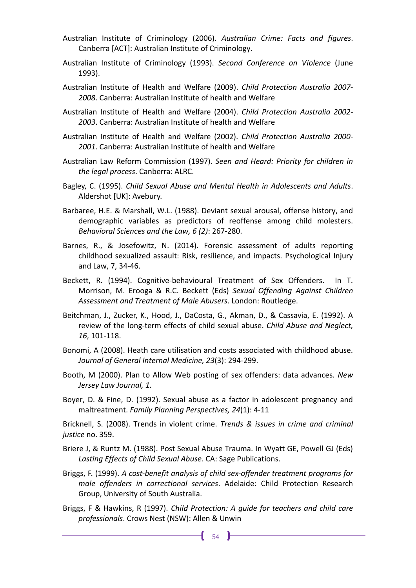- Australian Institute of Criminology (2006). *Australian Crime: Facts and figures*. Canberra [ACT]: Australian Institute of Criminology.
- Australian Institute of Criminology (1993). *Second Conference on Violence* (June 1993).
- Australian Institute of Health and Welfare (2009). *Child Protection Australia 2007- 2008*. Canberra: Australian Institute of health and Welfare
- Australian Institute of Health and Welfare (2004). *Child Protection Australia 2002- 2003*. Canberra: Australian Institute of health and Welfare
- Australian Institute of Health and Welfare (2002). *Child Protection Australia 2000- 2001*. Canberra: Australian Institute of health and Welfare
- Australian Law Reform Commission (1997). *Seen and Heard: Priority for children in the legal process*. Canberra: ALRC.
- Bagley, C. (1995). *Child Sexual Abuse and Mental Health in Adolescents and Adults*. Aldershot [UK]: Avebury.
- Barbaree, H.E. & Marshall, W.L. (1988). Deviant sexual arousal, offense history, and demographic variables as predictors of reoffense among child molesters. *Behavioral Sciences and the Law, 6 (2)*: 267-280.
- Barnes, R., & Josefowitz, N. (2014). Forensic assessment of adults reporting childhood sexualized assault: Risk, resilience, and impacts. Psychological Injury and Law, 7, 34-46.
- Beckett, R. (1994). Cognitive-behavioural Treatment of Sex Offenders. In T. Morrison, M. Erooga & R.C. Beckett (Eds) *Sexual Offending Against Children Assessment and Treatment of Male Abusers*. London: Routledge.
- Beitchman, J., Zucker, K., Hood, J., DaCosta, G., Akman, D., & Cassavia, E. (1992). A review of the long-term effects of child sexual abuse. *Child Abuse and Neglect, 16*, 101-118.
- Bonomi, A (2008). Heath care utilisation and costs associated with childhood abuse. *Journal of General Internal Medicine, 23*(3): 294-299.
- Booth, M (2000). Plan to Allow Web posting of sex offenders: data advances. *New Jersey Law Journal, 1*.
- Boyer, D. & Fine, D. (1992). Sexual abuse as a factor in adolescent pregnancy and maltreatment. *Family Planning Perspectives, 24*(1): 4-11

Bricknell, S. (2008). Trends in violent crime. *Trends & issues in crime and criminal justice* no. 359.

- Briere J, & Runtz M. (1988). Post Sexual Abuse Trauma. In Wyatt GE, Powell GJ (Eds) *Lasting Effects of Child Sexual Abuse*. CA: Sage Publications.
- Briggs, F. (1999). *A cost-benefit analysis of child sex-offender treatment programs for male offenders in correctional services*. Adelaide: Child Protection Research Group, University of South Australia.
- Briggs, F & Hawkins, R (1997). *Child Protection: A guide for teachers and child care professionals*. Crows Nest (NSW): Allen & Unwin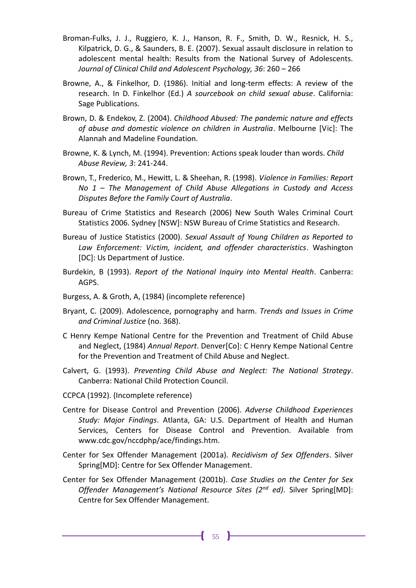- Broman-Fulks, J. J., Ruggiero, K. J., Hanson, R. F., Smith, D. W., Resnick, H. S., Kilpatrick, D. G., & Saunders, B. E. (2007). Sexual assault disclosure in relation to adolescent mental health: Results from the National Survey of Adolescents. *Journal of Clinical Child and Adolescent Psychology, 36*: 260 – 266
- Browne, A., & Finkelhor, D. (1986). Initial and long-term effects: A review of the research. In D. Finkelhor (Ed.) *A sourcebook on child sexual abuse*. California: Sage Publications.
- Brown, D. & Endekov, Z. (2004). *Childhood Abused: The pandemic nature and effects of abuse and domestic violence on children in Australia*. Melbourne [Vic]: The Alannah and Madeline Foundation.
- Browne, K. & Lynch, M. (1994). Prevention: Actions speak louder than words. *Child Abuse Review, 3*: 241-244.
- Brown, T., Frederico, M., Hewitt, L. & Sheehan, R. (1998). *Violence in Families: Report No 1 – The Management of Child Abuse Allegations in Custody and Access Disputes Before the Family Court of Australia*.
- Bureau of Crime Statistics and Research (2006) New South Wales Criminal Court Statistics 2006. Sydney [NSW]: NSW Bureau of Crime Statistics and Research.
- Bureau of Justice Statistics (2000). *Sexual Assault of Young Children as Reported to Law Enforcement: Victim, incident, and offender characteristics*. Washington [DC]: Us Department of Justice.
- Burdekin, B (1993). *Report of the National Inquiry into Mental Health*. Canberra: AGPS.
- Burgess, A. & Groth, A, (1984) (incomplete reference)
- Bryant, C. (2009). Adolescence, pornography and harm. *Trends and Issues in Crime and Criminal Justice* (no. 368).
- C Henry Kempe National Centre for the Prevention and Treatment of Child Abuse and Neglect, (1984) *Annual Report*. Denver[Co]: C Henry Kempe National Centre for the Prevention and Treatment of Child Abuse and Neglect.
- Calvert, G. (1993). *Preventing Child Abuse and Neglect: The National Strategy*. Canberra: National Child Protection Council.
- CCPCA (1992). (Incomplete reference)
- Centre for Disease Control and Prevention (2006). *Adverse Childhood Experiences Study: Major Findings*. Atlanta, GA: U.S. Department of Health and Human Services, Centers for Disease Control and Prevention. Available from www.cdc.gov/nccdphp/ace/findings.htm.
- Center for Sex Offender Management (2001a). *Recidivism of Sex Offenders*. Silver Spring[MD]: Centre for Sex Offender Management.
- Center for Sex Offender Management (2001b). *Case Studies on the Center for Sex Offender Management's National Resource Sites (2nd ed)*. Silver Spring[MD]: Centre for Sex Offender Management.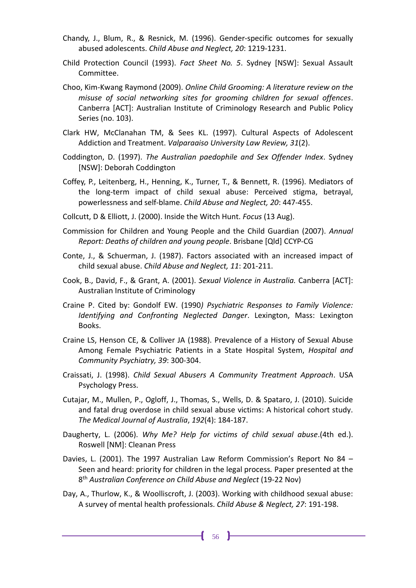- Chandy, J., Blum, R., & Resnick, M. (1996). Gender-specific outcomes for sexually abused adolescents. *Child Abuse and Neglect, 20*: 1219-1231.
- Child Protection Council (1993). *Fact Sheet No. 5*. Sydney [NSW]: Sexual Assault Committee.
- Choo, Kim-Kwang Raymond (2009). *Online Child Grooming: A literature review on the misuse of social networking sites for grooming children for sexual offences*. Canberra [ACT]: Australian Institute of Criminology Research and Public Policy Series (no. 103).
- Clark HW, McClanahan TM, & Sees KL. (1997). Cultural Aspects of Adolescent Addiction and Treatment. *Valparaaiso University Law Review, 31*(2).
- Coddington, D. (1997). *The Australian paedophile and Sex Offender Index*. Sydney [NSW]: Deborah Coddington
- Coffey, P., Leitenberg, H., Henning, K., Turner, T., & Bennett, R. (1996). Mediators of the long-term impact of child sexual abuse: Perceived stigma, betrayal, powerlessness and self-blame. *Child Abuse and Neglect, 20*: 447-455.
- Collcutt, D & Elliott, J. (2000). Inside the Witch Hunt. *Focus* (13 Aug).
- Commission for Children and Young People and the Child Guardian (2007). *Annual Report: Deaths of children and young people*. Brisbane [Qld] CCYP-CG
- Conte, J., & Schuerman, J. (1987). Factors associated with an increased impact of child sexual abuse. *Child Abuse and Neglect, 11*: 201-211.
- Cook, B., David, F., & Grant, A. (2001). *Sexual Violence in Australia.* Canberra [ACT]: Australian Institute of Criminology
- Craine P. Cited by: Gondolf EW. (1990*) Psychiatric Responses to Family Violence: Identifying and Confronting Neglected Danger*. Lexington, Mass: Lexington Books.
- Craine LS, Henson CE, & Colliver JA (1988). Prevalence of a History of Sexual Abuse Among Female Psychiatric Patients in a State Hospital System, *Hospital and Community Psychiatry, 39*: 300-304.
- Craissati, J. (1998). *Child Sexual Abusers A Community Treatment Approach*. USA Psychology Press.
- Cutajar, M., Mullen, P., Ogloff, J., Thomas, S., Wells, D. & Spataro, J. (2010). Suicide and fatal drug overdose in child sexual abuse victims: A historical cohort study. *The Medical Journal of Australia*, *192*(4): 184-187.
- Daugherty, L. (2006). *Why Me? Help for victims of child sexual abuse*.(4th ed.). Roswell [NM]: Cleanan Press
- Davies, L. (2001). The 1997 Australian Law Reform Commission's Report No 84 Seen and heard: priority for children in the legal process*.* Paper presented at the 8 th *Australian Conference on Child Abuse and Neglect* (19-22 Nov)
- Day, A., Thurlow, K., & Woolliscroft, J. (2003). Working with childhood sexual abuse: A survey of mental health professionals. *Child Abuse & Neglect, 27*: 191-198.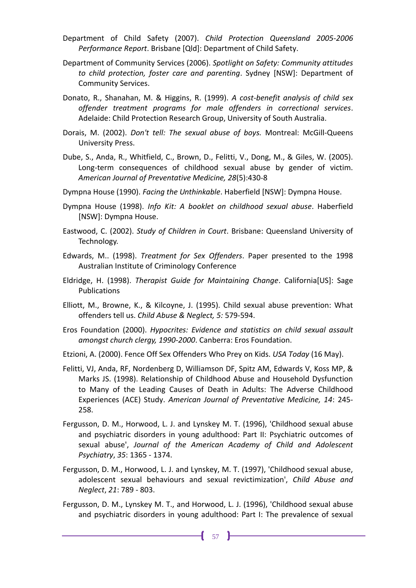- Department of Child Safety (2007). *Child Protection Queensland 2005-2006 Performance Report*. Brisbane [Qld]: Department of Child Safety.
- Department of Community Services (2006). *Spotlight on Safety: Community attitudes to child protection, foster care and parenting*. Sydney [NSW]: Department of Community Services.
- Donato, R., Shanahan, M. & Higgins, R. (1999). *A cost-benefit analysis of child sex offender treatment programs for male offenders in correctional services*. Adelaide: Child Protection Research Group, University of South Australia.
- Dorais, M. (2002). *Don't tell: The sexual abuse of boys.* Montreal: McGill-Queens University Press.
- Dube, S., Anda, R., Whitfield, C., Brown, D., Felitti, V., Dong, M., & Giles, W. (2005). Long-term consequences of childhood sexual abuse by gender of victim. *American Journal of Preventative Medicine, 28*(5):430-8
- Dympna House (1990). *Facing the Unthinkable*. Haberfield [NSW]: Dympna House.
- Dympna House (1998). *Info Kit: A booklet on childhood sexual abuse*. Haberfield [NSW]: Dympna House.
- Eastwood, C. (2002). *Study of Children in Court*. Brisbane: Queensland University of Technology.
- Edwards, M.. (1998). *Treatment for Sex Offenders*. Paper presented to the 1998 Australian Institute of Criminology Conference
- Eldridge, H. (1998). *Therapist Guide for Maintaining Change*. California[US]: Sage Publications
- Elliott, M., Browne, K., & Kilcoyne, J. (1995). Child sexual abuse prevention: What offenders tell us. *Child Abuse & Neglect, 5:* 579-594.
- Eros Foundation (2000). *Hypocrites: Evidence and statistics on child sexual assault amongst church clergy, 1990-2000*. Canberra: Eros Foundation.
- Etzioni, A. (2000). Fence Off Sex Offenders Who Prey on Kids. *USA Today* (16 May).
- Felitti, VJ, Anda, RF, Nordenberg D, Williamson DF, Spitz AM, Edwards V, Koss MP, & Marks JS. (1998). Relationship of Childhood Abuse and Household Dysfunction to Many of the Leading Causes of Death in Adults: The Adverse Childhood Experiences (ACE) Study. *American Journal of Preventative Medicine, 14*: 245- 258.
- Fergusson, D. M., Horwood, L. J. and Lynskey M. T. (1996), 'Childhood sexual abuse and psychiatric disorders in young adulthood: Part II: Psychiatric outcomes of sexual abuse', *Journal of the American Academy of Child and Adolescent Psychiatry*, *35*: 1365 - 1374.
- Fergusson, D. M., Horwood, L. J. and Lynskey, M. T. (1997), 'Childhood sexual abuse, adolescent sexual behaviours and sexual revictimization', *Child Abuse and Neglect*, *21*: 789 - 803.
- Fergusson, D. M., Lynskey M. T., and Horwood, L. J. (1996), 'Childhood sexual abuse and psychiatric disorders in young adulthood: Part I: The prevalence of sexual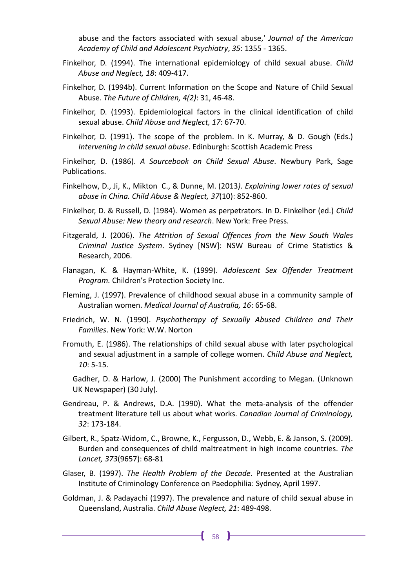abuse and the factors associated with sexual abuse,' *Journal of the American Academy of Child and Adolescent Psychiatry*, *35*: 1355 - 1365.

- Finkelhor, D. (1994). The international epidemiology of child sexual abuse. *Child Abuse and Neglect, 18*: 409-417.
- Finkelhor, D. (1994b). Current Information on the Scope and Nature of Child Sexual Abuse. *The Future of Children, 4(2)*: 31, 46-48.
- Finkelhor, D. (1993). Epidemiological factors in the clinical identification of child sexual abuse. *Child Abuse and Neglect, 17*: 67-70.
- Finkelhor, D. (1991). The scope of the problem. In K. Murray, & D. Gough (Eds.) *Intervening in child sexual abuse*. Edinburgh: Scottish Academic Press

Finkelhor, D. (1986). *A Sourcebook on Child Sexual Abuse*. Newbury Park, Sage Publications.

- Finkelhow, D., Ji, K., Mikton C., & Dunne, M. (2013*). Explaining lower rates of sexual abuse in China. Child Abuse & Neglect, 37*(10): 852-860.
- Finkelhor, D. & Russell, D. (1984). Women as perpetrators. In D. Finkelhor (ed.) *Child Sexual Abuse: New theory and research*. New York: Free Press.
- Fitzgerald, J. (2006). *The Attrition of Sexual Offences from the New South Wales Criminal Justice System*. Sydney [NSW]: NSW Bureau of Crime Statistics & Research, 2006.
- Flanagan, K. & Hayman-White, K. (1999). *Adolescent Sex Offender Treatment Program.* Children's Protection Society Inc.
- Fleming, J. (1997). Prevalence of childhood sexual abuse in a community sample of Australian women. *Medical Journal of Australia, 16*: 65-68.
- Friedrich, W. N. (1990). *Psychotherapy of Sexually Abused Children and Their Families*. New York: W.W. Norton
- Fromuth, E. (1986). The relationships of child sexual abuse with later psychological and sexual adjustment in a sample of college women. *Child Abuse and Neglect, 10*: 5-15.

Gadher, D. & Harlow, J. (2000) The Punishment according to Megan. (Unknown UK Newspaper) (30 July).

- Gendreau, P. & Andrews, D.A. (1990). What the meta-analysis of the offender treatment literature tell us about what works. *Canadian Journal of Criminology, 32*: 173-184.
- Gilbert, R., Spatz-Widom, C., Browne, K., Fergusson, D., Webb, E. & Janson, S. (2009). Burden and consequences of child maltreatment in high income countries. *The Lancet, 373*(9657): 68-81
- Glaser, B. (1997). *The Health Problem of the Decade*. Presented at the Australian Institute of Criminology Conference on Paedophilia: Sydney, April 1997.
- Goldman, J. & Padayachi (1997). The prevalence and nature of child sexual abuse in Queensland, Australia. *Child Abuse Neglect, 21*: 489-498.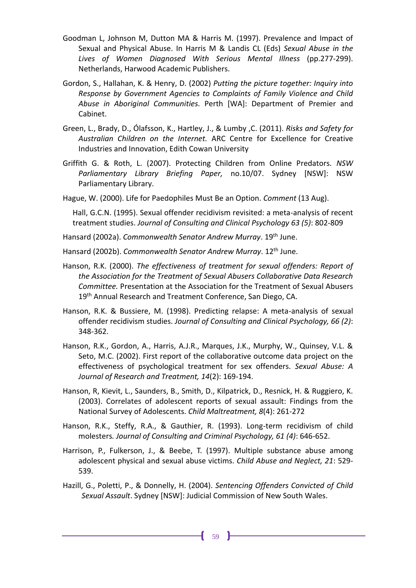- Goodman L, Johnson M, Dutton MA & Harris M. (1997). Prevalence and Impact of Sexual and Physical Abuse. In Harris M & Landis CL (Eds) *Sexual Abuse in the Lives of Women Diagnosed With Serious Mental Illness* (pp.277-299). Netherlands, Harwood Academic Publishers.
- Gordon, S., Hallahan, K. & Henry, D. (2002) *Putting the picture together: Inquiry into Response by Government Agencies to Complaints of Family Violence and Child Abuse in Aboriginal Communities.* Perth [WA]: Department of Premier and Cabinet.
- Green, L., Brady, D., Ólafsson, K., Hartley, J., & Lumby ,C. (2011). *Risks and Safety for Australian Children on the Internet.* ARC Centre for Excellence for Creative Industries and Innovation, Edith Cowan University
- Griffith G. & Roth, L. (2007). Protecting Children from Online Predators. *NSW Parliamentary Library Briefing Paper,* no.10/07. Sydney [NSW]: NSW Parliamentary Library.
- Hague, W. (2000). Life for Paedophiles Must Be an Option. *Comment* (13 Aug).

Hall, G.C.N. (1995). Sexual offender recidivism revisited: a meta-analysis of recent treatment studies. *Journal of Consulting and Clinical Psychology 63 (5)*: 802-809

Hansard (2002a). *Commonwealth Senator Andrew Murray*. 19th June.

Hansard (2002b). *Commonwealth Senator Andrew Murray*. 12th June.

- Hanson, R.K. (2000). *The effectiveness of treatment for sexual offenders: Report of the Association for the Treatment of Sexual Abusers Collaborative Data Research Committee.* Presentation at the Association for the Treatment of Sexual Abusers 19<sup>th</sup> Annual Research and Treatment Conference, San Diego, CA.
- Hanson, R.K. & Bussiere, M. (1998). Predicting relapse: A meta-analysis of sexual offender recidivism studies. *Journal of Consulting and Clinical Psychology, 66 (2)*: 348-362.
- Hanson, R.K., Gordon, A., Harris, A.J.R., Marques, J.K., Murphy, W., Quinsey, V.L. & Seto, M.C. (2002). First report of the collaborative outcome data project on the effectiveness of psychological treatment for sex offenders. *Sexual Abuse: A Journal of Research and Treatment, 14*(2): 169-194.
- Hanson, R, Kievit, L., Saunders, B., Smith, D., Kilpatrick, D., Resnick, H. & Ruggiero, K. (2003). Correlates of adolescent reports of sexual assault: Findings from the National Survey of Adolescents. *Child Maltreatment, 8*(4): 261-272
- Hanson, R.K., Steffy, R.A., & Gauthier, R. (1993). Long-term recidivism of child molesters*. Journal of Consulting and Criminal Psychology, 61 (4)*: 646-652.
- Harrison, P., Fulkerson, J., & Beebe, T. (1997). Multiple substance abuse among adolescent physical and sexual abuse victims. *Child Abuse and Neglect, 21*: 529- 539.
- Hazill, G., Poletti, P., & Donnelly, H. (2004). *Sentencing Offenders Convicted of Child Sexual Assault*. Sydney [NSW]: Judicial Commission of New South Wales.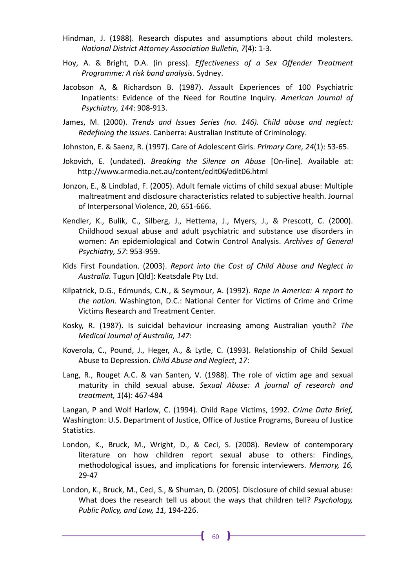- Hindman, J. (1988). Research disputes and assumptions about child molesters. *National District Attorney Association Bulletin, 7*(4): 1-3.
- Hoy, A. & Bright, D.A. (in press). *Effectiveness of a Sex Offender Treatment Programme: A risk band analysis*. Sydney.
- Jacobson A, & Richardson B. (1987). Assault Experiences of 100 Psychiatric Inpatients: Evidence of the Need for Routine Inquiry. *American Journal of Psychiatry, 144*: 908-913.
- James, M. (2000). *Trends and Issues Series (no. 146). Child abuse and neglect: Redefining the issues*. Canberra: Australian Institute of Criminology.
- Johnston, E. & Saenz, R. (1997). Care of Adolescent Girls. *Primary Care, 24*(1): 53-65.
- Jokovich, E. (undated). *Breaking the Silence on Abuse* [On-line]. Available at: http://www.armedia.net.au/content/edit06/edit06.html
- Jonzon, E., & Lindblad, F. (2005). Adult female victims of child sexual abuse: Multiple maltreatment and disclosure characteristics related to subjective health. Journal of Interpersonal Violence, 20, 651-666.
- Kendler, K., Bulik, C., Silberg, J., Hettema, J., Myers, J., & Prescott, C. (2000). Childhood sexual abuse and adult psychiatric and substance use disorders in women: An epidemiological and Cotwin Control Analysis. *Archives of General Psychiatry, 57*: 953-959.
- Kids First Foundation. (2003). *Report into the Cost of Child Abuse and Neglect in Australia.* Tugun [Qld]: Keatsdale Pty Ltd.
- Kilpatrick, D.G., Edmunds, C.N., & Seymour, A. (1992). *Rape in America: A report to the nation.* Washington, D.C.: National Center for Victims of Crime and Crime Victims Research and Treatment Center.
- Kosky, R. (1987). Is suicidal behaviour increasing among Australian youth? *The Medical Journal of Australia, 147*:
- Koverola, C., Pound, J., Heger, A., & Lytle, C. (1993). Relationship of Child Sexual Abuse to Depression. *Child Abuse and Neglect*, *17*:
- Lang, R., Rouget A.C. & van Santen, V. (1988). The role of victim age and sexual maturity in child sexual abuse. *Sexual Abuse: A journal of research and treatment, 1*(4): 467-484

Langan, P and Wolf Harlow, C. (1994). Child Rape Victims, 1992. *Crime Data Brief,* Washington: U.S. Department of Justice, Office of Justice Programs, Bureau of Justice Statistics.

- London, K., Bruck, M., Wright, D., & Ceci, S. (2008). Review of contemporary literature on how children report sexual abuse to others: Findings, methodological issues, and implications for forensic interviewers. *Memory, 16,* 29-47
- London, K., Bruck, M., Ceci, S., & Shuman, D. (2005). Disclosure of child sexual abuse: What does the research tell us about the ways that children tell? *Psychology, Public Policy, and Law, 11,* 194-226.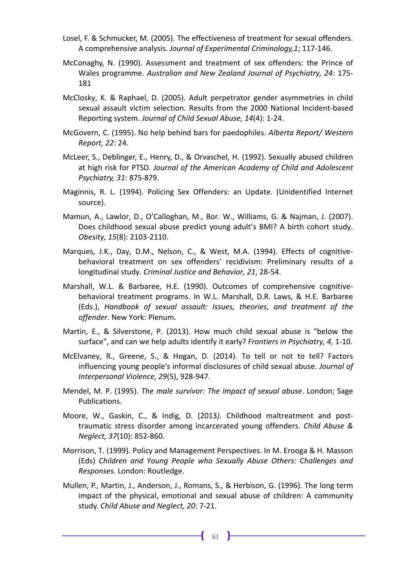- Losel, F. & Schmucker, M. (2005). The effectiveness of treatment for sexual offenders. A comprehensive analysis. *Journal of Experimental Criminology,1*; 117-146.
- McConaghy, N. (1990). Assessment and treatment of sex offenders: the Prince of Wales programme. *Australian and New Zealand Journal of Psychiatry, 24*: 175- 181
- McClosky, K. & Raphael, D. (2005). Adult perpetrator gender asymmetries in child sexual assault victim selection. Results from the 2000 National Incident-based Reporting system. *Journal of Child Sexual Abuse, 14*(4): 1-24.
- McGovern, C. (1995). No help behind bars for paedophiles. *Alberta Report/ Western Report, 22*: 24.
- McLeer, S., Deblinger, E., Henry, D., & Orvaschel, H. (1992). Sexually abused children at high risk for PTSD. *Journal of the American Academy of Child and Adolescent Psychiatry, 31*: 875-879.
- Maginnis, R. L. (1994). Policing Sex Offenders: an Update. (Unidentified Internet source).
- Mamun, A., Lawlor, D., O'Calloghan, M., Bor. W., Williams, G. & Najman, J. (2007). Does childhood sexual abuse predict young adult's BMI? A birth cohort study. *Obesity, 15*(8): 2103-2110.
- Marques, J.K., Day, D.M., Nelson, C., & West, M.A. (1994). Effects of cognitivebehavioral treatment on sex offenders' recidivism: Preliminary results of a longitudinal study*. Criminal Justice and Behavior, 21*, 28-54.
- Marshall, W.L. & Barbaree, H.E. (1990). Outcomes of comprehensive cognitivebehavioral treatment programs. In W.L. Marshall, D.R. Laws, & H.E. Barbaree (Eds.), *Handbook of sexual assault: Issues, theories, and treatment of the offender*. New York: Plenum.
- Martin, E., & Silverstone, P. (2013). How much child sexual abuse is "below the surface", and can we help adults identify it early? *Frontiers in Psychiatry, 4,* 1-10.
- McElvaney, R., Greene, S., & Hogan, D. (2014). To tell or not to tell? Factors influencing young people's informal disclosures of child sexual abuse. *Journal of Interpersonal Violence, 29*(5), 928-947.
- Mendel, M. P. (1995). *The male survivor: The impact of sexual abuse*. London; Sage Publications.
- Moore, W., Gaskin, C., & Indig, D. (2013*).* Childhood maltreatment and posttraumatic stress disorder among incarcerated young offenders. *Child Abuse & Neglect, 37*(10): 852-860.
- Morrison, T. (1999). Policy and Management Perspectives. In M. Erooga & H. Masson (Eds) *Children and Young People who Sexually Abuse Others: Challenges and Responses*. London: Routledge.
- Mullen, P., Martin, J., Anderson, J., Romans, S., & Herbison, G. (1996). The long term impact of the physical, emotional and sexual abuse of children: A community study. *Child Abuse and Neglect, 20*: 7-21.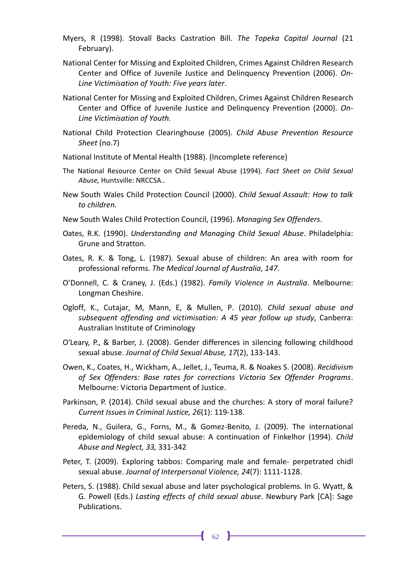- Myers, R (1998). Stovall Backs Castration Bill. *The Topeka Capital Journal* (21 February).
- National Center for Missing and Exploited Children, Crimes Against Children Research Center and Office of Juvenile Justice and Delinquency Prevention (2006). *On-Line Victimisation of Youth: Five years later*.
- National Center for Missing and Exploited Children, Crimes Against Children Research Center and Office of Juvenile Justice and Delinquency Prevention (2000). *On-Line Victimisation of Youth.*
- National Child Protection Clearinghouse (2005). *Child Abuse Prevention Resource Sheet* (no.7)
- National Institute of Mental Health (1988). (Incomplete reference)
- The National Resource Center on Child Sexual Abuse (1994). *Fact Sheet on Child Sexual Abuse,* Huntsville: NRCCSA..
- New South Wales Child Protection Council (2000). *Child Sexual Assault: How to talk to children.*
- New South Wales Child Protection Council, (1996). *Managing Sex Offenders*.
- Oates, R.K. (1990). *Understanding and Managing Child Sexual Abuse*. Philadelphia: Grune and Stratton.
- Oates, R. K. & Tong, L. (1987). Sexual abuse of children: An area with room for professional reforms. *The Medical Journal of Australia*, *147*.
- O'Donnell, C. & Craney, J. (Eds.) (1982). *Family Violence in Australia*. Melbourne: Longman Cheshire.
- Ogloff, K., Cutajar, M, Mann, E, & Mullen, P. (2010). *Child sexual abuse and subsequent offending and victimisation: A 45 year follow up study*, Canberra: Australian Institute of Criminology
- O'Leary, P., & Barber, J. (2008). Gender differences in silencing following childhood sexual abuse. *Journal of Child Sexual Abuse, 17*(2), 133-143.
- Owen, K., Coates, H., Wickham, A., Jellet, J., Teuma, R. & Noakes S. (2008). *Recidivism of Sex Offenders: Base rates for corrections Victoria Sex Offender Programs*. Melbourne: Victoria Department of Justice.
- Parkinson, P. (2014). Child sexual abuse and the churches: A story of moral failure? *Current Issues in Criminal Justice, 26*(1): 119-138.
- Pereda, N., Guilera, G., Forns, M., & Gomez-Benito, J. (2009). The international epidemiology of child sexual abuse: A continuation of Finkelhor (1994). *Child Abuse and Neglect, 33,* 331-342
- Peter, T. (2009). Exploring tabbos: Comparing male and female- perpetrated chidl sexual abuse. *Journal of Interpersonal Violence, 24*(7): 1111-1128.
- Peters, S. (1988). Child sexual abuse and later psychological problems. In G. Wyatt, & G. Powell (Eds.) *Lasting effects of child sexual abuse*. Newbury Park [CA]: Sage Publications.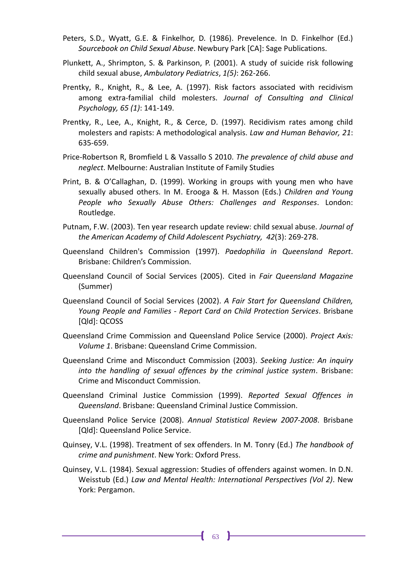- Peters, S.D., Wyatt, G.E. & Finkelhor, D. (1986). Prevelence. In D. Finkelhor (Ed.) *Sourcebook on Child Sexual Abuse*. Newbury Park [CA]: Sage Publications.
- Plunkett, A., Shrimpton, S. & Parkinson, P. (2001). A study of suicide risk following child sexual abuse, *Ambulatory Pediatrics*, *1(5)*: 262-266.
- Prentky, R., Knight, R., & Lee, A. (1997). Risk factors associated with recidivism among extra-familial child molesters. *Journal of Consulting and Clinical Psychology, 65 (1)*: 141-149.
- Prentky, R., Lee, A., Knight, R., & Cerce, D. (1997). Recidivism rates among child molesters and rapists: A methodological analysis. *Law and Human Behavior, 21*: 635-659.
- Price-Robertson R, Bromfield L & Vassallo S 2010. *The prevalence of child abuse and neglect*. Melbourne: Australian Institute of Family Studies
- Print, B. & O'Callaghan, D. (1999). Working in groups with young men who have sexually abused others. In M. Erooga & H. Masson (Eds.) *Children and Young People who Sexually Abuse Others: Challenges and Responses*. London: Routledge.
- Putnam, F.W. (2003). Ten year research update review: child sexual abuse. *Journal of the American Academy of Child Adolescent Psychiatry, 42*(3): 269-278.
- Queensland Children's Commission (1997). *Paedophilia in Queensland Report*. Brisbane: Children's Commission.
- Queensland Council of Social Services (2005). Cited in *Fair Queensland Magazine* (Summer)
- Queensland Council of Social Services (2002). *A Fair Start for Queensland Children, Young People and Families - Report Card on Child Protection Services*. Brisbane [Qld]: QCOSS
- Queensland Crime Commission and Queensland Police Service (2000). *Project Axis: Volume 1*. Brisbane: Queensland Crime Commission.
- Queensland Crime and Misconduct Commission (2003). *Seeking Justice: An inquiry into the handling of sexual offences by the criminal justice system*. Brisbane: Crime and Misconduct Commission.
- Queensland Criminal Justice Commission (1999). *Reported Sexual Offences in Queensland*. Brisbane: Queensland Criminal Justice Commission.
- Queensland Police Service (2008). *Annual Statistical Review 2007-2008*. Brisbane [Qld]: Queensland Police Service.
- Quinsey, V.L. (1998). Treatment of sex offenders. In M. Tonry (Ed.) *The handbook of crime and punishment*. New York: Oxford Press.
- Quinsey, V.L. (1984). Sexual aggression: Studies of offenders against women. In D.N. Weisstub (Ed.) *Law and Mental Health: International Perspectives (Vol 2)*. New York: Pergamon.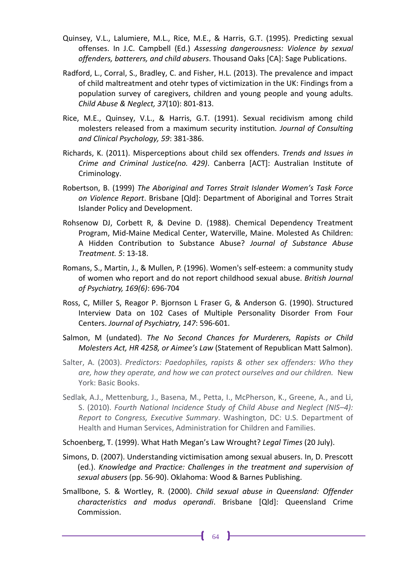- Quinsey, V.L., Lalumiere, M.L., Rice, M.E., & Harris, G.T. (1995). Predicting sexual offenses. In J.C. Campbell (Ed.) *Assessing dangerousness: Violence by sexual offenders, batterers, and child abusers*. Thousand Oaks [CA]: Sage Publications.
- Radford, L., Corral, S., Bradley, C. and Fisher, H.L. (2013). The prevalence and impact of child maltreatment and otehr types of victimization in the UK: Findings from a population survey of caregivers, children and young people and young adults. *Child Abuse & Neglect, 37*(10): 801-813.
- Rice, M.E., Quinsey, V.L., & Harris, G.T. (1991). Sexual recidivism among child molesters released from a maximum security institution*. Journal of Consulting and Clinical Psychology, 59*: 381-386.
- Richards, K. (2011). Misperceptions about child sex offenders. *Trends and Issues in Crime and Criminal Justice(no. 429)*. Canberra [ACT]: Australian Institute of Criminology.
- Robertson, B. (1999) *The Aboriginal and Torres Strait Islander Women's Task Force on Violence Report*. Brisbane [Qld]: Department of Aboriginal and Torres Strait Islander Policy and Development.
- Rohsenow DJ, Corbett R, & Devine D. (1988). Chemical Dependency Treatment Program, Mid-Maine Medical Center, Waterville, Maine. Molested As Children: A Hidden Contribution to Substance Abuse? *Journal of Substance Abuse Treatment. 5*: 13-18.
- Romans, S., Martin, J., & Mullen, P. (1996). Women's self-esteem: a community study of women who report and do not report childhood sexual abuse. *British Journal of Psychiatry, 169(6)*: 696-704
- Ross, C, Miller S, Reagor P. Bjornson L Fraser G, & Anderson G. (1990). Structured Interview Data on 102 Cases of Multiple Personality Disorder From Four Centers. *Journal of Psychiatry, 147*: 596-601.
- Salmon, M (undated). *The No Second Chances for Murderers, Rapists or Child Molesters Act, HR 4258, or Aimee's Law* (Statement of Republican Matt Salmon).
- Salter, A. (2003). *Predictors: Paedophiles, rapists & other sex offenders: Who they are, how they operate, and how we can protect ourselves and our children.* New York: Basic Books.
- Sedlak, A.J., Mettenburg, J., Basena, M., Petta, I., McPherson, K., Greene, A., and Li, S. (2010). *Fourth National Incidence Study of Child Abuse and Neglect (NIS–4): Report to Congress, Executive Summary*. Washington, DC: U.S. Department of Health and Human Services, Administration for Children and Families.

Schoenberg, T. (1999). What Hath Megan's Law Wrought? *Legal Times* (20 July).

- Simons, D. (2007). Understanding victimisation among sexual abusers. In, D. Prescott (ed.). *Knowledge and Practice: Challenges in the treatment and supervision of sexual abusers* (pp. 56-90). Oklahoma: Wood & Barnes Publishing.
- Smallbone, S. & Wortley, R. (2000). *Child sexual abuse in Queensland: Offender characteristics and modus operandi*. Brisbane [Qld]: Queensland Crime Commission.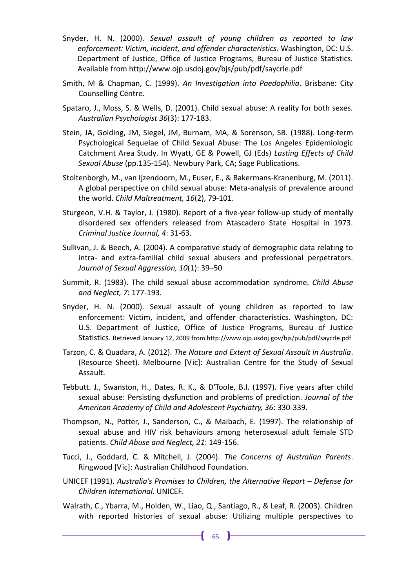- Snyder, H. N. (2000). *Sexual assault of young children as reported to law enforcement: Victim, incident, and offender characteristics*. Washington, DC: U.S. Department of Justice, Office of Justice Programs, Bureau of Justice Statistics. Available from http://www.ojp.usdoj.gov/bjs/pub/pdf/saycrle.pdf
- Smith, M & Chapman, C. (1999). *An Investigation into Paedophilia*. Brisbane: City Counselling Centre.
- Spataro, J., Moss, S. & Wells, D. (2001). Child sexual abuse: A reality for both sexes. *Australian Psychologist 36*(3): 177-183.
- Stein, JA, Golding, JM, Siegel, JM, Burnam, MA, & Sorenson, SB. (1988). Long-term Psychological Sequelae of Child Sexual Abuse: The Los Angeles Epidemiologic Catchment Area Study. In Wyatt, GE & Powell, GJ (Eds) *Lasting Effects of Child Sexual Abuse* (pp.135-154). Newbury Park, CA; Sage Publications.
- Stoltenborgh, M., van Ijzendoorn, M., Euser, E., & Bakermans-Kranenburg, M. (2011). A global perspective on child sexual abuse: Meta-analysis of prevalence around the world. *Child Maltreatment, 16*(2), 79-101.
- Sturgeon, V.H. & Taylor, J. (1980). Report of a five-year follow-up study of mentally disordered sex offenders released from Atascadero State Hospital in 1973. *Criminal Justice Journal, 4*: 31-63.
- Sullivan, J. & Beech, A. (2004). A comparative study of demographic data relating to intra- and extra-familial child sexual abusers and professional perpetrators. *Journal of Sexual Aggression, 10*(1): 39–50
- Summit, R. (1983). The child sexual abuse accommodation syndrome. *Child Abuse and Neglect, 7*: 177-193.
- Snyder, H. N. (2000). Sexual assault of young children as reported to law enforcement: Victim, incident, and offender characteristics. Washington, DC: U.S. Department of Justice, Office of Justice Programs, Bureau of Justice Statistics. Retrieved January 12, 2009 from http://www.ojp.usdoj.gov/bjs/pub/pdf/saycrle.pdf
- Tarzon, C. & Quadara, A. (2012). *The Nature and Extent of Sexual Assault in Australia*. (Resource Sheet). Melbourne [Vic]: Australian Centre for the Study of Sexual Assault.
- Tebbutt. J., Swanston, H., Dates, R. K., & D'Toole, B.I. (1997). Five years after child sexual abuse: Persisting dysfunction and problems of prediction. *Journal of the American Academy of Child and Adolescent Psychiatry, 36*: 330-339.
- Thompson, N., Potter, J., Sanderson, C., & Maibach, E. (1997). The relationship of sexual abuse and HIV risk behaviours among heterosexual adult female STD patients. *Child Abuse and Neglect, 21*: 149-156.
- Tucci, J., Goddard, C. & Mitchell, J. (2004). *The Concerns of Australian Parents*. Ringwood [Vic]: Australian Childhood Foundation.
- UNICEF (1991). *Australia's Promises to Children, the Alternative Report – Defense for Children International*. UNICEF.
- Walrath, C., Ybarra, M., Holden, W., Liao, Q., Santiago, R., & Leaf, R. (2003). Children with reported histories of sexual abuse: Utilizing multiple perspectives to